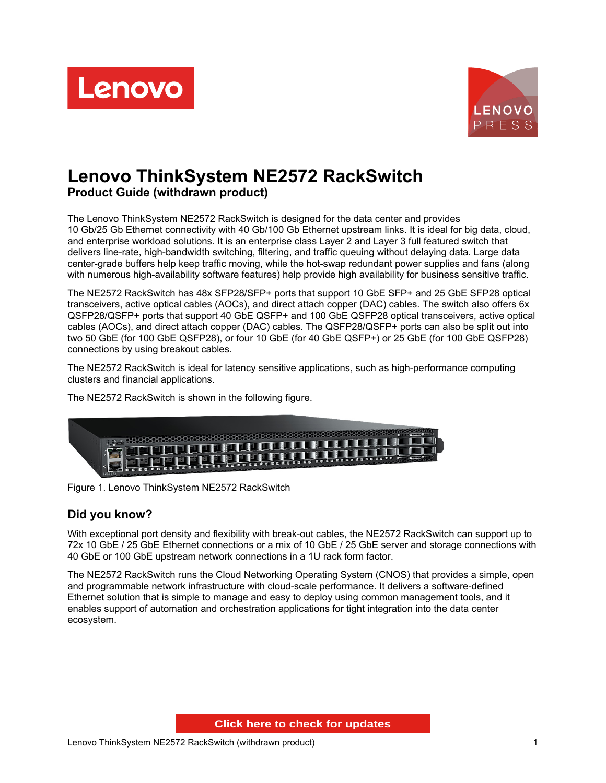



# **Lenovo ThinkSystem NE2572 RackSwitch Product Guide (withdrawn product)**

The Lenovo ThinkSystem NE2572 RackSwitch is designed for the data center and provides 10 Gb/25 Gb Ethernet connectivity with 40 Gb/100 Gb Ethernet upstream links. It is ideal for big data, cloud, and enterprise workload solutions. It is an enterprise class Layer 2 and Layer 3 full featured switch that delivers line-rate, high-bandwidth switching, filtering, and traffic queuing without delaying data. Large data center-grade buffers help keep traffic moving, while the hot-swap redundant power supplies and fans (along with numerous high-availability software features) help provide high availability for business sensitive traffic.

The NE2572 RackSwitch has 48x SFP28/SFP+ ports that support 10 GbE SFP+ and 25 GbE SFP28 optical transceivers, active optical cables (AOCs), and direct attach copper (DAC) cables. The switch also offers 6x QSFP28/QSFP+ ports that support 40 GbE QSFP+ and 100 GbE QSFP28 optical transceivers, active optical cables (AOCs), and direct attach copper (DAC) cables. The QSFP28/QSFP+ ports can also be split out into two 50 GbE (for 100 GbE QSFP28), or four 10 GbE (for 40 GbE QSFP+) or 25 GbE (for 100 GbE QSFP28) connections by using breakout cables.

The NE2572 RackSwitch is ideal for latency sensitive applications, such as high-performance computing clusters and financial applications.

The NE2572 RackSwitch is shown in the following figure.



Figure 1. Lenovo ThinkSystem NE2572 RackSwitch

#### **Did you know?**

With exceptional port density and flexibility with break-out cables, the NE2572 RackSwitch can support up to 72x 10 GbE / 25 GbE Ethernet connections or a mix of 10 GbE / 25 GbE server and storage connections with 40 GbE or 100 GbE upstream network connections in a 1U rack form factor.

The NE2572 RackSwitch runs the Cloud Networking Operating System (CNOS) that provides a simple, open and programmable network infrastructure with cloud-scale performance. It delivers a software-defined Ethernet solution that is simple to manage and easy to deploy using common management tools, and it enables support of automation and orchestration applications for tight integration into the data center ecosystem.

**Click here to check for updates**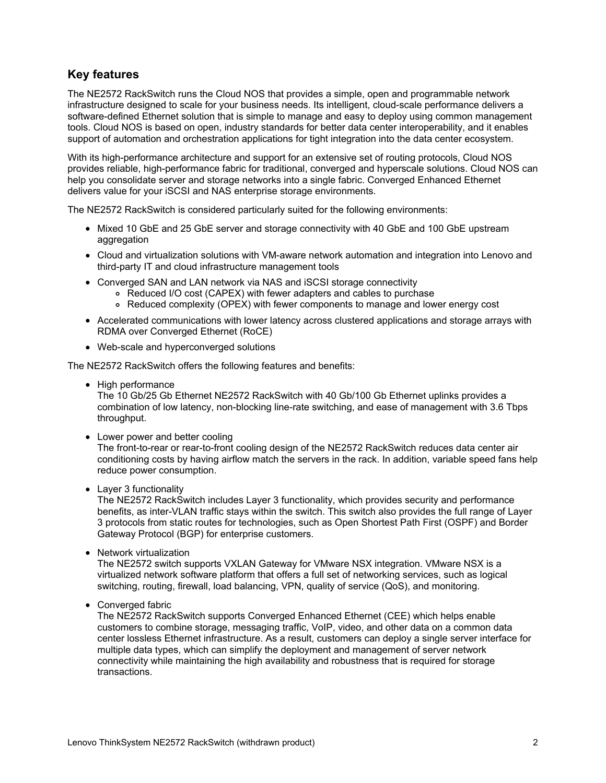## **Key features**

The NE2572 RackSwitch runs the Cloud NOS that provides a simple, open and programmable network infrastructure designed to scale for your business needs. Its intelligent, cloud-scale performance delivers a software-defined Ethernet solution that is simple to manage and easy to deploy using common management tools. Cloud NOS is based on open, industry standards for better data center interoperability, and it enables support of automation and orchestration applications for tight integration into the data center ecosystem.

With its high-performance architecture and support for an extensive set of routing protocols, Cloud NOS provides reliable, high-performance fabric for traditional, converged and hyperscale solutions. Cloud NOS can help you consolidate server and storage networks into a single fabric. Converged Enhanced Ethernet delivers value for your iSCSI and NAS enterprise storage environments.

The NE2572 RackSwitch is considered particularly suited for the following environments:

- Mixed 10 GbE and 25 GbE server and storage connectivity with 40 GbE and 100 GbE upstream aggregation
- Cloud and virtualization solutions with VM-aware network automation and integration into Lenovo and third-party IT and cloud infrastructure management tools
- Converged SAN and LAN network via NAS and iSCSI storage connectivity
	- Reduced I/O cost (CAPEX) with fewer adapters and cables to purchase
	- Reduced complexity (OPEX) with fewer components to manage and lower energy cost
- Accelerated communications with lower latency across clustered applications and storage arrays with RDMA over Converged Ethernet (RoCE)
- Web-scale and hyperconverged solutions

The NE2572 RackSwitch offers the following features and benefits:

• High performance

The 10 Gb/25 Gb Ethernet NE2572 RackSwitch with 40 Gb/100 Gb Ethernet uplinks provides a combination of low latency, non-blocking line-rate switching, and ease of management with 3.6 Tbps throughput.

• Lower power and better cooling

The front-to-rear or rear-to-front cooling design of the NE2572 RackSwitch reduces data center air conditioning costs by having airflow match the servers in the rack. In addition, variable speed fans help reduce power consumption.

• Layer 3 functionality

The NE2572 RackSwitch includes Layer 3 functionality, which provides security and performance benefits, as inter-VLAN traffic stays within the switch. This switch also provides the full range of Layer 3 protocols from static routes for technologies, such as Open Shortest Path First (OSPF) and Border Gateway Protocol (BGP) for enterprise customers.

• Network virtualization

The NE2572 switch supports VXLAN Gateway for VMware NSX integration. VMware NSX is a virtualized network software platform that offers a full set of networking services, such as logical switching, routing, firewall, load balancing, VPN, quality of service (QoS), and monitoring.

Converged fabric

The NE2572 RackSwitch supports Converged Enhanced Ethernet (CEE) which helps enable customers to combine storage, messaging traffic, VoIP, video, and other data on a common data center lossless Ethernet infrastructure. As a result, customers can deploy a single server interface for multiple data types, which can simplify the deployment and management of server network connectivity while maintaining the high availability and robustness that is required for storage transactions.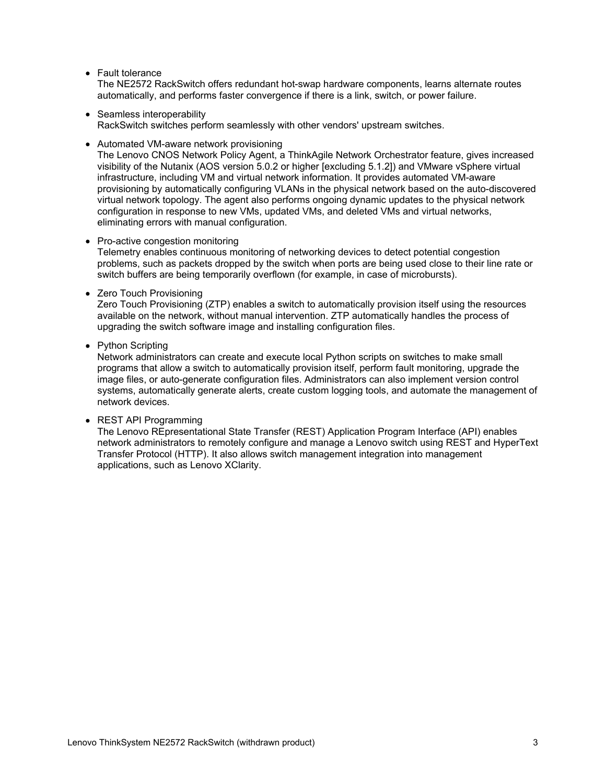• Fault tolerance

The NE2572 RackSwitch offers redundant hot-swap hardware components, learns alternate routes automatically, and performs faster convergence if there is a link, switch, or power failure.

- Seamless interoperability RackSwitch switches perform seamlessly with other vendors' upstream switches.
- Automated VM-aware network provisioning

The Lenovo CNOS Network Policy Agent, a ThinkAgile Network Orchestrator feature, gives increased visibility of the Nutanix (AOS version 5.0.2 or higher [excluding 5.1.2]) and VMware vSphere virtual infrastructure, including VM and virtual network information. It provides automated VM-aware provisioning by automatically configuring VLANs in the physical network based on the auto-discovered virtual network topology. The agent also performs ongoing dynamic updates to the physical network configuration in response to new VMs, updated VMs, and deleted VMs and virtual networks, eliminating errors with manual configuration.

#### • Pro-active congestion monitoring

Telemetry enables continuous monitoring of networking devices to detect potential congestion problems, such as packets dropped by the switch when ports are being used close to their line rate or switch buffers are being temporarily overflown (for example, in case of microbursts).

• Zero Touch Provisioning

Zero Touch Provisioning (ZTP) enables a switch to automatically provision itself using the resources available on the network, without manual intervention. ZTP automatically handles the process of upgrading the switch software image and installing configuration files.

#### • Python Scripting

Network administrators can create and execute local Python scripts on switches to make small programs that allow a switch to automatically provision itself, perform fault monitoring, upgrade the image files, or auto-generate configuration files. Administrators can also implement version control systems, automatically generate alerts, create custom logging tools, and automate the management of network devices.

• REST API Programming

The Lenovo REpresentational State Transfer (REST) Application Program Interface (API) enables network administrators to remotely configure and manage a Lenovo switch using REST and HyperText Transfer Protocol (HTTP). It also allows switch management integration into management applications, such as Lenovo XClarity.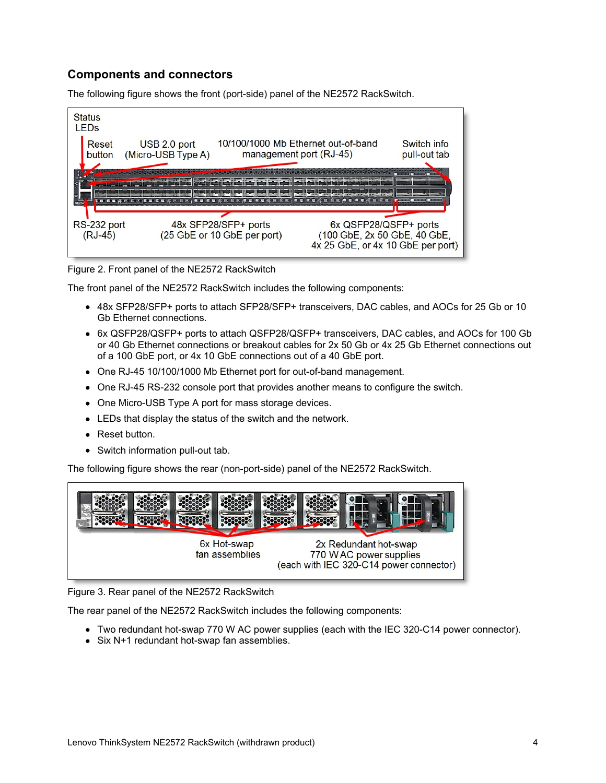### **Components and connectors**

The following figure shows the front (port-side) panel of the NE2572 RackSwitch.



Figure 2. Front panel of the NE2572 RackSwitch

The front panel of the NE2572 RackSwitch includes the following components:

- 48x SFP28/SFP+ ports to attach SFP28/SFP+ transceivers, DAC cables, and AOCs for 25 Gb or 10 Gb Ethernet connections.
- 6x QSFP28/QSFP+ ports to attach QSFP28/QSFP+ transceivers, DAC cables, and AOCs for 100 Gb or 40 Gb Ethernet connections or breakout cables for 2x 50 Gb or 4x 25 Gb Ethernet connections out of a 100 GbE port, or 4x 10 GbE connections out of a 40 GbE port.
- One RJ-45 10/100/1000 Mb Ethernet port for out-of-band management.
- One RJ-45 RS-232 console port that provides another means to configure the switch.
- One Micro-USB Type A port for mass storage devices.
- LEDs that display the status of the switch and the network.
- Reset button.
- Switch information pull-out tab.

The following figure shows the rear (non-port-side) panel of the NE2572 RackSwitch.



Figure 3. Rear panel of the NE2572 RackSwitch

The rear panel of the NE2572 RackSwitch includes the following components:

- Two redundant hot-swap 770 W AC power supplies (each with the IEC 320-C14 power connector).
- Six N+1 redundant hot-swap fan assemblies.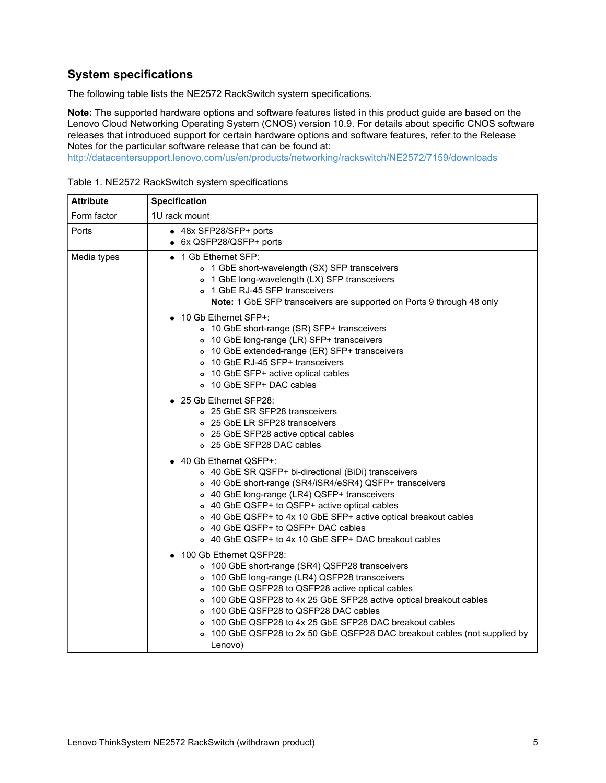## **System specifications**

The following table lists the NE2572 RackSwitch system specifications.

**Note:** The supported hardware options and software features listed in this product guide are based on the Lenovo Cloud Networking Operating System (CNOS) version 10.9. For details about specific CNOS software releases that introduced support for certain hardware options and software features, refer to the Release Notes for the particular software release that can be found at:

<http://datacentersupport.lenovo.com/us/en/products/networking/rackswitch/NE2572/7159/downloads>

| <b>Attribute</b> | <b>Specification</b>                                                                                                                                                                                                                                                                                                                                                                                                                                    |  |  |  |  |  |
|------------------|---------------------------------------------------------------------------------------------------------------------------------------------------------------------------------------------------------------------------------------------------------------------------------------------------------------------------------------------------------------------------------------------------------------------------------------------------------|--|--|--|--|--|
| Form factor      | 1U rack mount                                                                                                                                                                                                                                                                                                                                                                                                                                           |  |  |  |  |  |
| Ports            | • 48x SFP28/SFP+ ports<br>• 6x QSFP28/QSFP+ ports                                                                                                                                                                                                                                                                                                                                                                                                       |  |  |  |  |  |
| Media types      | 1 Gb Ethernet SFP:<br>o 1 GbE short-wavelength (SX) SFP transceivers<br>o 1 GbE long-wavelength (LX) SFP transceivers<br>o 1 GbE RJ-45 SFP transceivers<br>Note: 1 GbE SFP transceivers are supported on Ports 9 through 48 only                                                                                                                                                                                                                        |  |  |  |  |  |
|                  | 10 Gb Ethernet SFP+:<br>o 10 GbE short-range (SR) SFP+ transceivers<br>o 10 GbE long-range (LR) SFP+ transceivers<br>o 10 GbE extended-range (ER) SFP+ transceivers<br>o 10 GbE RJ-45 SFP+ transceivers<br>o 10 GbE SFP+ active optical cables<br>o 10 GbE SFP+ DAC cables                                                                                                                                                                              |  |  |  |  |  |
|                  | 25 Gb Ethernet SFP28:<br>o 25 GbE SR SFP28 transceivers<br>○ 25 GbE LR SFP28 transceivers<br>o 25 GbE SFP28 active optical cables<br>o 25 GbE SFP28 DAC cables                                                                                                                                                                                                                                                                                          |  |  |  |  |  |
|                  | 40 Gb Ethernet QSFP+:<br>$\bullet$<br>o 40 GbE SR QSFP+ bi-directional (BiDi) transceivers<br>o 40 GbE short-range (SR4/iSR4/eSR4) QSFP+ transceivers<br>o 40 GbE long-range (LR4) QSFP+ transceivers<br>o 40 GbE QSFP+ to QSFP+ active optical cables<br>o 40 GbE QSFP+ to 4x 10 GbE SFP+ active optical breakout cables<br>o 40 GbE QSFP+ to QSFP+ DAC cables<br>o 40 GbE QSFP+ to 4x 10 GbE SFP+ DAC breakout cables                                 |  |  |  |  |  |
|                  | 100 Gb Ethernet QSFP28:<br>o 100 GbE short-range (SR4) QSFP28 transceivers<br>o 100 GbE long-range (LR4) QSFP28 transceivers<br>o 100 GbE QSFP28 to QSFP28 active optical cables<br>o 100 GbE QSFP28 to 4x 25 GbE SFP28 active optical breakout cables<br>100 GbE QSFP28 to QSFP28 DAC cables<br>$\circ$<br>100 GbE QSFP28 to 4x 25 GbE SFP28 DAC breakout cables<br>100 GbE QSFP28 to 2x 50 GbE QSFP28 DAC breakout cables (not supplied by<br>Lenovo) |  |  |  |  |  |

Table 1. NE2572 RackSwitch system specifications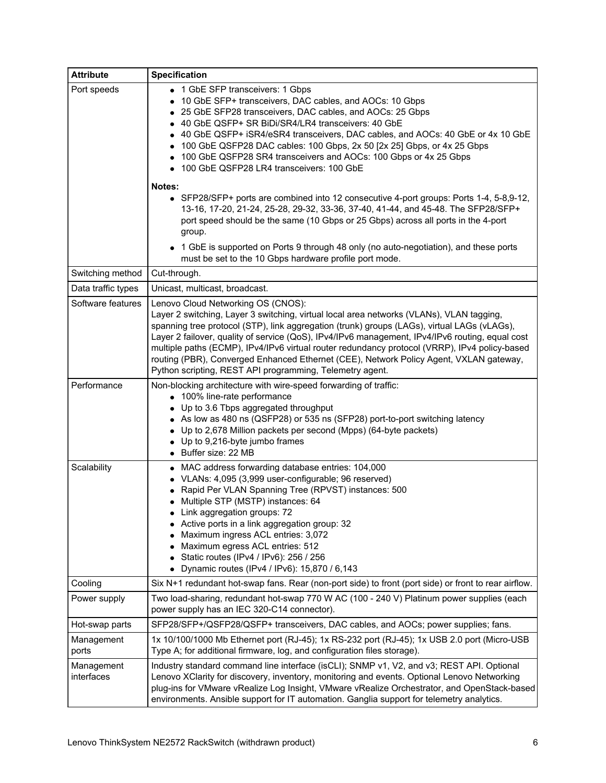| <b>Attribute</b>         | <b>Specification</b>                                                                                                                                                                                                                                                                                                                                                                                                                                                                                                                                                                                                                                                                                                                                                                           |
|--------------------------|------------------------------------------------------------------------------------------------------------------------------------------------------------------------------------------------------------------------------------------------------------------------------------------------------------------------------------------------------------------------------------------------------------------------------------------------------------------------------------------------------------------------------------------------------------------------------------------------------------------------------------------------------------------------------------------------------------------------------------------------------------------------------------------------|
| Port speeds              | • 1 GbE SFP transceivers: 1 Gbps<br>10 GbE SFP+ transceivers, DAC cables, and AOCs: 10 Gbps<br>$\bullet$<br>25 GbE SFP28 transceivers, DAC cables, and AOCs: 25 Gbps<br>40 GbE QSFP+ SR BiDi/SR4/LR4 transceivers: 40 GbE<br>40 GbE QSFP+ iSR4/eSR4 transceivers, DAC cables, and AOCs: 40 GbE or 4x 10 GbE<br>100 GbE QSFP28 DAC cables: 100 Gbps, 2x 50 [2x 25] Gbps, or 4x 25 Gbps<br>100 GbE QSFP28 SR4 transceivers and AOCs: 100 Gbps or 4x 25 Gbps<br>100 GbE QSFP28 LR4 transceivers: 100 GbE<br>Notes:<br>• SFP28/SFP+ ports are combined into 12 consecutive 4-port groups: Ports 1-4, 5-8,9-12,<br>13-16, 17-20, 21-24, 25-28, 29-32, 33-36, 37-40, 41-44, and 45-48. The SFP28/SFP+<br>port speed should be the same (10 Gbps or 25 Gbps) across all ports in the 4-port<br>group. |
|                          | • 1 GbE is supported on Ports 9 through 48 only (no auto-negotiation), and these ports<br>must be set to the 10 Gbps hardware profile port mode.                                                                                                                                                                                                                                                                                                                                                                                                                                                                                                                                                                                                                                               |
| Switching method         | Cut-through.                                                                                                                                                                                                                                                                                                                                                                                                                                                                                                                                                                                                                                                                                                                                                                                   |
| Data traffic types       | Unicast, multicast, broadcast.                                                                                                                                                                                                                                                                                                                                                                                                                                                                                                                                                                                                                                                                                                                                                                 |
| Software features        | Lenovo Cloud Networking OS (CNOS):<br>Layer 2 switching, Layer 3 switching, virtual local area networks (VLANs), VLAN tagging,<br>spanning tree protocol (STP), link aggregation (trunk) groups (LAGs), virtual LAGs (vLAGs),<br>Layer 2 failover, quality of service (QoS), IPv4/IPv6 management, IPv4/IPv6 routing, equal cost<br>multiple paths (ECMP), IPv4/IPv6 virtual router redundancy protocol (VRRP), IPv4 policy-based<br>routing (PBR), Converged Enhanced Ethernet (CEE), Network Policy Agent, VXLAN gateway,<br>Python scripting, REST API programming, Telemetry agent.                                                                                                                                                                                                        |
| Performance              | Non-blocking architecture with wire-speed forwarding of traffic:<br>• 100% line-rate performance<br>Up to 3.6 Tbps aggregated throughput<br>As low as 480 ns (QSFP28) or 535 ns (SFP28) port-to-port switching latency<br>• Up to 2,678 Million packets per second (Mpps) (64-byte packets)<br>• Up to 9,216-byte jumbo frames<br>• Buffer size: 22 MB                                                                                                                                                                                                                                                                                                                                                                                                                                         |
| Scalability              | • MAC address forwarding database entries: 104,000<br>• VLANs: 4,095 (3,999 user-configurable; 96 reserved)<br>Rapid Per VLAN Spanning Tree (RPVST) instances: 500<br>• Multiple STP (MSTP) instances: 64<br>Link aggregation groups: 72<br>Active ports in a link aggregation group: 32<br>Maximum ingress ACL entries: 3,072<br>Maximum egress ACL entries: 512<br>Static routes (IPv4 / IPv6): 256 / 256<br>Dynamic routes (IPv4 / IPv6): 15,870 / 6,143                                                                                                                                                                                                                                                                                                                                    |
| Cooling                  | Six N+1 redundant hot-swap fans. Rear (non-port side) to front (port side) or front to rear airflow.                                                                                                                                                                                                                                                                                                                                                                                                                                                                                                                                                                                                                                                                                           |
| Power supply             | Two load-sharing, redundant hot-swap 770 W AC (100 - 240 V) Platinum power supplies (each<br>power supply has an IEC 320-C14 connector).                                                                                                                                                                                                                                                                                                                                                                                                                                                                                                                                                                                                                                                       |
| Hot-swap parts           | SFP28/SFP+/QSFP28/QSFP+ transceivers, DAC cables, and AOCs; power supplies; fans.                                                                                                                                                                                                                                                                                                                                                                                                                                                                                                                                                                                                                                                                                                              |
| Management<br>ports      | 1x 10/100/1000 Mb Ethernet port (RJ-45); 1x RS-232 port (RJ-45); 1x USB 2.0 port (Micro-USB<br>Type A; for additional firmware, log, and configuration files storage).                                                                                                                                                                                                                                                                                                                                                                                                                                                                                                                                                                                                                         |
| Management<br>interfaces | Industry standard command line interface (isCLI); SNMP v1, V2, and v3; REST API. Optional<br>Lenovo XClarity for discovery, inventory, monitoring and events. Optional Lenovo Networking<br>plug-ins for VMware vRealize Log Insight, VMware vRealize Orchestrator, and OpenStack-based<br>environments. Ansible support for IT automation. Ganglia support for telemetry analytics.                                                                                                                                                                                                                                                                                                                                                                                                           |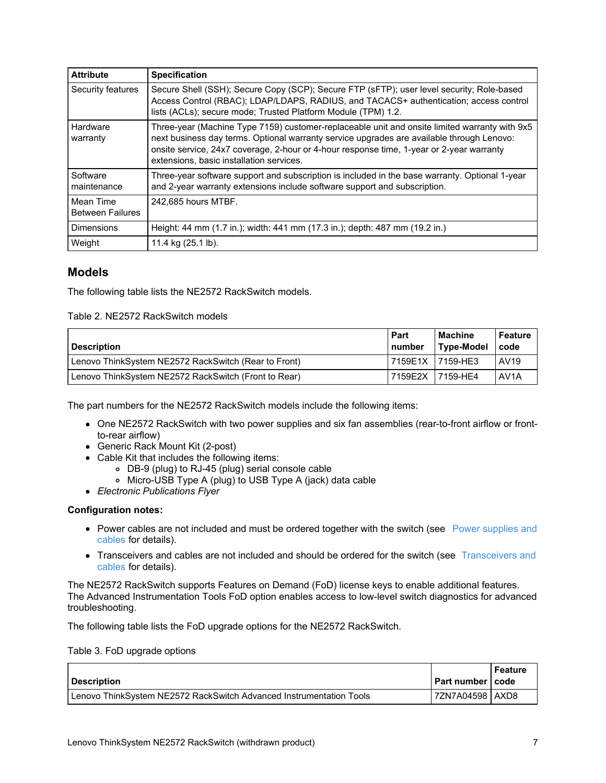| <b>Attribute</b>                     | <b>Specification</b>                                                                                                                                                                                                                                                                                                               |
|--------------------------------------|------------------------------------------------------------------------------------------------------------------------------------------------------------------------------------------------------------------------------------------------------------------------------------------------------------------------------------|
| Security features                    | Secure Shell (SSH); Secure Copy (SCP); Secure FTP (sFTP); user level security; Role-based<br>Access Control (RBAC); LDAP/LDAPS, RADIUS, and TACACS+ authentication; access control<br>lists (ACLs); secure mode; Trusted Platform Module (TPM) 1.2.                                                                                |
| Hardware<br>warranty                 | Three-year (Machine Type 7159) customer-replaceable unit and onsite limited warranty with 9x5<br>next business day terms. Optional warranty service upgrades are available through Lenovo:<br>onsite service, 24x7 coverage, 2-hour or 4-hour response time, 1-year or 2-year warranty<br>extensions, basic installation services. |
| Software<br>maintenance              | Three-year software support and subscription is included in the base warranty. Optional 1-year<br>and 2-year warranty extensions include software support and subscription.                                                                                                                                                        |
| Mean Time<br><b>Between Failures</b> | 242.685 hours MTBF.                                                                                                                                                                                                                                                                                                                |
| <b>Dimensions</b>                    | Height: 44 mm (1.7 in.); width: 441 mm (17.3 in.); depth: 487 mm (19.2 in.)                                                                                                                                                                                                                                                        |
| Weight                               | 11.4 kg (25.1 lb).                                                                                                                                                                                                                                                                                                                 |

## **Models**

The following table lists the NE2572 RackSwitch models.

Table 2. NE2572 RackSwitch models

| <b>Description</b>                                   | Part<br><b>I</b> number | <b>Machine</b><br><b>Type-Model</b> | <b>Feature</b><br>code |
|------------------------------------------------------|-------------------------|-------------------------------------|------------------------|
| Lenovo ThinkSystem NE2572 RackSwitch (Rear to Front) | l 7159E1X               | I 7159-HE3                          | AV19                   |
| Lenovo ThinkSystem NE2572 RackSwitch (Front to Rear) | 7159E2X                 | 7159-HE4                            | AV <sub>1</sub> A      |

The part numbers for the NE2572 RackSwitch models include the following items:

- One NE2572 RackSwitch with two power supplies and six fan assemblies (rear-to-front airflow or frontto-rear airflow)
- Generic Rack Mount Kit (2-post)
- Cable Kit that includes the following items:
	- DB-9 (plug) to RJ-45 (plug) serial console cable
	- Micro-USB Type A (plug) to USB Type A (jack) data cable
- *Electronic Publications Flyer*

#### **Configuration notes:**

- Power cables are not [included](#page-17-0) and must be ordered together with the switch (see Power supplies and cables for details).
- [Transceivers](#page-7-0) and cables are not included and should be ordered for the switch (see Transceivers and cables for details).

The NE2572 RackSwitch supports Features on Demand (FoD) license keys to enable additional features. The Advanced Instrumentation Tools FoD option enables access to low-level switch diagnostics for advanced troubleshooting.

The following table lists the FoD upgrade options for the NE2572 RackSwitch.

Table 3. FoD upgrade options

| <b>Description</b>                                                    | I Part number I code | Feature |
|-----------------------------------------------------------------------|----------------------|---------|
| l Lenovo ThinkSvstem NE2572 RackSwitch Advanced Instrumentation Tools | 7ZN7A04598   AXD8    |         |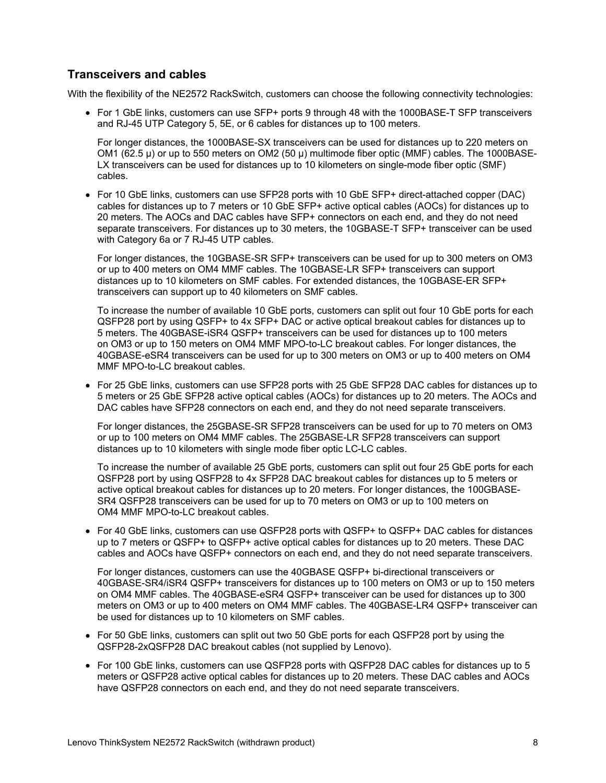#### <span id="page-7-0"></span>**Transceivers and cables**

With the flexibility of the NE2572 RackSwitch, customers can choose the following connectivity technologies:

• For 1 GbE links, customers can use SFP+ ports 9 through 48 with the 1000BASE-T SFP transceivers and RJ-45 UTP Category 5, 5E, or 6 cables for distances up to 100 meters.

For longer distances, the 1000BASE-SX transceivers can be used for distances up to 220 meters on OM1 (62.5 µ) or up to 550 meters on OM2 (50 µ) multimode fiber optic (MMF) cables. The 1000BASE-LX transceivers can be used for distances up to 10 kilometers on single-mode fiber optic (SMF) cables.

• For 10 GbE links, customers can use SFP28 ports with 10 GbE SFP+ direct-attached copper (DAC) cables for distances up to 7 meters or 10 GbE SFP+ active optical cables (AOCs) for distances up to 20 meters. The AOCs and DAC cables have SFP+ connectors on each end, and they do not need separate transceivers. For distances up to 30 meters, the 10GBASE-T SFP+ transceiver can be used with Category 6a or 7 RJ-45 UTP cables.

For longer distances, the 10GBASE-SR SFP+ transceivers can be used for up to 300 meters on OM3 or up to 400 meters on OM4 MMF cables. The 10GBASE-LR SFP+ transceivers can support distances up to 10 kilometers on SMF cables. For extended distances, the 10GBASE-ER SFP+ transceivers can support up to 40 kilometers on SMF cables.

To increase the number of available 10 GbE ports, customers can split out four 10 GbE ports for each QSFP28 port by using QSFP+ to 4x SFP+ DAC or active optical breakout cables for distances up to 5 meters. The 40GBASE-iSR4 QSFP+ transceivers can be used for distances up to 100 meters on OM3 or up to 150 meters on OM4 MMF MPO-to-LC breakout cables. For longer distances, the 40GBASE-eSR4 transceivers can be used for up to 300 meters on OM3 or up to 400 meters on OM4 MMF MPO-to-LC breakout cables.

For 25 GbE links, customers can use SFP28 ports with 25 GbE SFP28 DAC cables for distances up to 5 meters or 25 GbE SFP28 active optical cables (AOCs) for distances up to 20 meters. The AOCs and DAC cables have SFP28 connectors on each end, and they do not need separate transceivers.

For longer distances, the 25GBASE-SR SFP28 transceivers can be used for up to 70 meters on OM3 or up to 100 meters on OM4 MMF cables. The 25GBASE-LR SFP28 transceivers can support distances up to 10 kilometers with single mode fiber optic LC-LC cables.

To increase the number of available 25 GbE ports, customers can split out four 25 GbE ports for each QSFP28 port by using QSFP28 to 4x SFP28 DAC breakout cables for distances up to 5 meters or active optical breakout cables for distances up to 20 meters. For longer distances, the 100GBASE-SR4 QSFP28 transceivers can be used for up to 70 meters on OM3 or up to 100 meters on OM4 MMF MPO-to-LC breakout cables.

For 40 GbE links, customers can use QSFP28 ports with QSFP+ to QSFP+ DAC cables for distances up to 7 meters or QSFP+ to QSFP+ active optical cables for distances up to 20 meters. These DAC cables and AOCs have QSFP+ connectors on each end, and they do not need separate transceivers.

For longer distances, customers can use the 40GBASE QSFP+ bi-directional transceivers or 40GBASE-SR4/iSR4 QSFP+ transceivers for distances up to 100 meters on OM3 or up to 150 meters on OM4 MMF cables. The 40GBASE-eSR4 QSFP+ transceiver can be used for distances up to 300 meters on OM3 or up to 400 meters on OM4 MMF cables. The 40GBASE-LR4 QSFP+ transceiver can be used for distances up to 10 kilometers on SMF cables.

- For 50 GbE links, customers can split out two 50 GbE ports for each QSFP28 port by using the QSFP28-2xQSFP28 DAC breakout cables (not supplied by Lenovo).
- For 100 GbE links, customers can use QSFP28 ports with QSFP28 DAC cables for distances up to 5 meters or QSFP28 active optical cables for distances up to 20 meters. These DAC cables and AOCs have QSFP28 connectors on each end, and they do not need separate transceivers.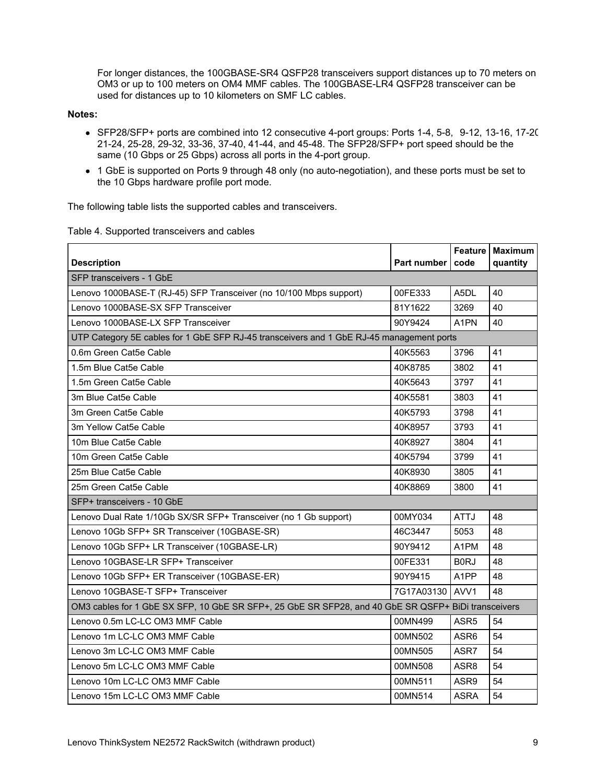For longer distances, the 100GBASE-SR4 QSFP28 transceivers support distances up to 70 meters on OM3 or up to 100 meters on OM4 MMF cables. The 100GBASE-LR4 QSFP28 transceiver can be used for distances up to 10 kilometers on SMF LC cables.

#### **Notes:**

- SFP28/SFP+ ports are combined into 12 consecutive 4-port groups: Ports 1-4, 5-8, 9-12, 13-16, 17-20, 21-24, 25-28, 29-32, 33-36, 37-40, 41-44, and 45-48. The SFP28/SFP+ port speed should be the same (10 Gbps or 25 Gbps) across all ports in the 4-port group.
- 1 GbE is supported on Ports 9 through 48 only (no auto-negotiation), and these ports must be set to the 10 Gbps hardware profile port mode.

The following table lists the supported cables and transceivers.

|  |  | Table 4. Supported transceivers and cables |  |
|--|--|--------------------------------------------|--|
|--|--|--------------------------------------------|--|

| <b>Description</b>                                                                                  | Part number     | code              | Feature Maximum<br>quantity |
|-----------------------------------------------------------------------------------------------------|-----------------|-------------------|-----------------------------|
| SFP transceivers - 1 GbE                                                                            |                 |                   |                             |
|                                                                                                     |                 |                   |                             |
| Lenovo 1000BASE-T (RJ-45) SFP Transceiver (no 10/100 Mbps support)                                  | 00FE333         | A5DL              | 40                          |
| Lenovo 1000BASE-SX SFP Transceiver                                                                  | 81Y1622         | 3269              | 40                          |
| Lenovo 1000BASE-LX SFP Transceiver                                                                  | 90Y9424         | A <sub>1</sub> PN | 40                          |
| UTP Category 5E cables for 1 GbE SFP RJ-45 transceivers and 1 GbE RJ-45 management ports            |                 |                   |                             |
| 0.6m Green Cat5e Cable                                                                              | 40K5563         | 3796              | 41                          |
| 1.5m Blue Cat5e Cable                                                                               | 40K8785         | 3802              | 41                          |
| 1.5m Green Cat5e Cable                                                                              | 40K5643         | 3797              | 41                          |
| 3m Blue Cat5e Cable                                                                                 | 40K5581         | 3803              | 41                          |
| 3m Green Cat5e Cable                                                                                | 40K5793         | 3798              | 41                          |
| 3m Yellow Cat5e Cable                                                                               | 40K8957         | 3793              | 41                          |
| 10m Blue Cat5e Cable                                                                                | 40K8927         | 3804              | 41                          |
| 10m Green Cat5e Cable                                                                               | 40K5794         | 3799              | 41                          |
| 25m Blue Cat5e Cable                                                                                | 40K8930         | 3805              | 41                          |
| 25m Green Cat5e Cable                                                                               | 40K8869         | 3800              | 41                          |
| SFP+ transceivers - 10 GbE                                                                          |                 |                   |                             |
| Lenovo Dual Rate 1/10Gb SX/SR SFP+ Transceiver (no 1 Gb support)                                    | 00MY034         | <b>ATTJ</b>       | 48                          |
| Lenovo 10Gb SFP+ SR Transceiver (10GBASE-SR)                                                        | 46C3447         | 5053              | 48                          |
| Lenovo 10Gb SFP+ LR Transceiver (10GBASE-LR)                                                        | 90Y9412         | A <sub>1</sub> PM | 48                          |
| Lenovo 10GBASE-LR SFP+ Transceiver                                                                  | 00FE331         | B <sub>0</sub> RJ | 48                          |
| Lenovo 10Gb SFP+ ER Transceiver (10GBASE-ER)                                                        | 90Y9415         | A1PP              | 48                          |
| Lenovo 10GBASE-T SFP+ Transceiver                                                                   | 7G17A03130 AVV1 |                   | 48                          |
| OM3 cables for 1 GbE SX SFP, 10 GbE SR SFP+, 25 GbE SR SFP28, and 40 GbE SR QSFP+ BiDi transceivers |                 |                   |                             |
| Lenovo 0.5m LC-LC OM3 MMF Cable                                                                     | 00MN499         | ASR <sub>5</sub>  | 54                          |
| Lenovo 1m LC-LC OM3 MMF Cable                                                                       | 00MN502         | ASR <sub>6</sub>  | 54                          |
| Lenovo 3m LC-LC OM3 MMF Cable                                                                       | 00MN505         | ASR7              | 54                          |
| Lenovo 5m LC-LC OM3 MMF Cable                                                                       | 00MN508         | ASR <sub>8</sub>  | 54                          |
| Lenovo 10m LC-LC OM3 MMF Cable                                                                      | 00MN511         | ASR9              | 54                          |
| Lenovo 15m LC-LC OM3 MMF Cable                                                                      | 00MN514         | <b>ASRA</b>       | 54                          |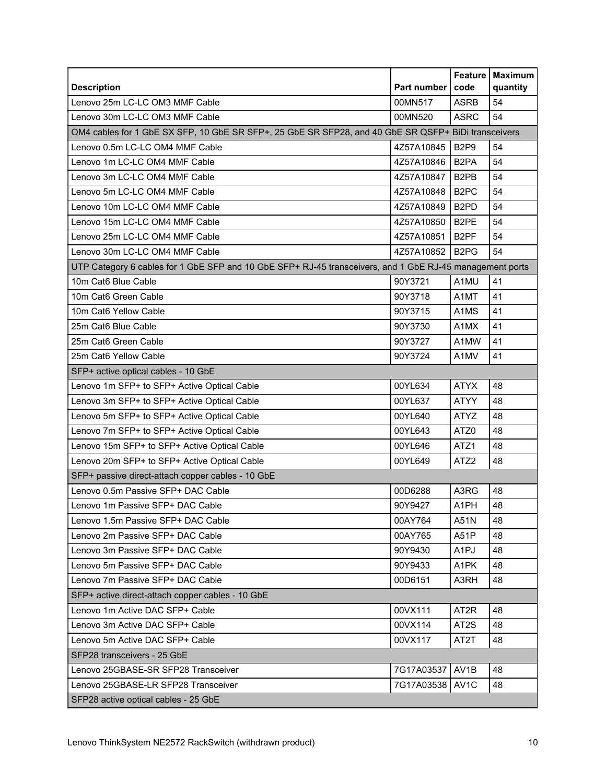|                                                                                                          | Part number | <b>Feature</b><br>code        | <b>Maximum</b><br>quantity |
|----------------------------------------------------------------------------------------------------------|-------------|-------------------------------|----------------------------|
| <b>Description</b><br>Lenovo 25m LC-LC OM3 MMF Cable                                                     | 00MN517     | <b>ASRB</b>                   | 54                         |
| Lenovo 30m LC-LC OM3 MMF Cable                                                                           | 00MN520     | <b>ASRC</b>                   | 54                         |
|                                                                                                          |             |                               |                            |
| OM4 cables for 1 GbE SX SFP, 10 GbE SR SFP+, 25 GbE SR SFP28, and 40 GbE SR QSFP+ BiDi transceivers      |             |                               |                            |
| Lenovo 0.5m LC-LC OM4 MMF Cable                                                                          | 4Z57A10845  | <b>B2P9</b>                   | 54                         |
| Lenovo 1m LC-LC OM4 MMF Cable                                                                            | 4Z57A10846  | B <sub>2</sub> PA             | 54                         |
| Lenovo 3m LC-LC OM4 MMF Cable                                                                            | 4Z57A10847  | B <sub>2</sub> P <sub>B</sub> | 54                         |
| Lenovo 5m LC-LC OM4 MMF Cable                                                                            | 4Z57A10848  | B <sub>2</sub> PC             | 54                         |
| Lenovo 10m LC-LC OM4 MMF Cable                                                                           | 4Z57A10849  | B <sub>2</sub> PD             | 54                         |
| Lenovo 15m LC-LC OM4 MMF Cable                                                                           | 4Z57A10850  | B <sub>2</sub> PE             | 54                         |
| Lenovo 25m LC-LC OM4 MMF Cable                                                                           | 4Z57A10851  | B <sub>2</sub> PF             | 54                         |
| Lenovo 30m LC-LC OM4 MMF Cable                                                                           | 4Z57A10852  | B <sub>2</sub> P <sub>G</sub> | 54                         |
| UTP Category 6 cables for 1 GbE SFP and 10 GbE SFP+ RJ-45 transceivers, and 1 GbE RJ-45 management ports |             |                               |                            |
| 10m Cat6 Blue Cable                                                                                      | 90Y3721     | A1MU                          | 41                         |
| 10m Cat6 Green Cable                                                                                     | 90Y3718     | A1MT                          | 41                         |
| 10m Cat6 Yellow Cable                                                                                    | 90Y3715     | A <sub>1</sub> M <sub>S</sub> | 41                         |
| 25m Cat6 Blue Cable                                                                                      | 90Y3730     | A1MX                          | 41                         |
| 25m Cat6 Green Cable                                                                                     | 90Y3727     | A1MW                          | 41                         |
| 25m Cat6 Yellow Cable                                                                                    | 90Y3724     | A1MV                          | 41                         |
| SFP+ active optical cables - 10 GbE                                                                      |             |                               |                            |
| Lenovo 1m SFP+ to SFP+ Active Optical Cable                                                              | 00YL634     | <b>ATYX</b>                   | 48                         |
| Lenovo 3m SFP+ to SFP+ Active Optical Cable                                                              | 00YL637     | <b>ATYY</b>                   | 48                         |
| Lenovo 5m SFP+ to SFP+ Active Optical Cable                                                              | 00YL640     | ATYZ                          | 48                         |
| Lenovo 7m SFP+ to SFP+ Active Optical Cable                                                              | 00YL643     | ATZ0                          | 48                         |
| Lenovo 15m SFP+ to SFP+ Active Optical Cable                                                             | 00YL646     | ATZ1                          | 48                         |
| Lenovo 20m SFP+ to SFP+ Active Optical Cable                                                             | 00YL649     | ATZ <sub>2</sub>              | 48                         |
| SFP+ passive direct-attach copper cables - 10 GbE                                                        |             |                               |                            |
| Lenovo 0.5m Passive SFP+ DAC Cable                                                                       | 00D6288     | A3RG                          | 48                         |
| Lenovo 1m Passive SFP+ DAC Cable                                                                         | 90Y9427     | A <sub>1</sub> PH             | 48                         |
| Lenovo 1.5m Passive SFP+ DAC Cable                                                                       | 00AY764     | A51N                          | 48                         |
| Lenovo 2m Passive SFP+ DAC Cable                                                                         | 00AY765     | A51P                          | 48                         |
| Lenovo 3m Passive SFP+ DAC Cable                                                                         | 90Y9430     | A <sub>1</sub> PJ             | 48                         |
| Lenovo 5m Passive SFP+ DAC Cable                                                                         | 90Y9433     | A1PK                          | 48                         |
| Lenovo 7m Passive SFP+ DAC Cable                                                                         | 00D6151     | A3RH                          | 48                         |
| SFP+ active direct-attach copper cables - 10 GbE                                                         |             |                               |                            |
| Lenovo 1m Active DAC SFP+ Cable                                                                          | 00VX111     | AT <sub>2</sub> R             | 48                         |
| Lenovo 3m Active DAC SFP+ Cable                                                                          | 00VX114     | AT <sub>2</sub> S             | 48                         |
| Lenovo 5m Active DAC SFP+ Cable                                                                          | 00VX117     | AT2T                          | 48                         |
| SFP28 transceivers - 25 GbE                                                                              |             |                               |                            |
| Lenovo 25GBASE-SR SFP28 Transceiver                                                                      | 7G17A03537  | AV1B                          | 48                         |
| Lenovo 25GBASE-LR SFP28 Transceiver                                                                      | 7G17A03538  | AV <sub>1</sub> C             | 48                         |
| SFP28 active optical cables - 25 GbE                                                                     |             |                               |                            |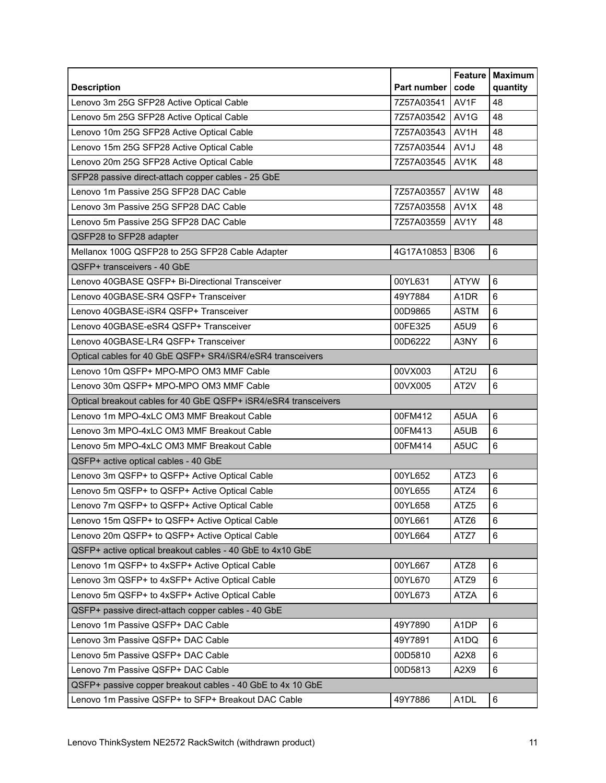<span id="page-10-0"></span>

| <b>Description</b>                                              | Part number | <b>Feature</b><br>code | <b>Maximum</b><br>quantity |
|-----------------------------------------------------------------|-------------|------------------------|----------------------------|
| Lenovo 3m 25G SFP28 Active Optical Cable                        | 7Z57A03541  | AV1F                   | 48                         |
| Lenovo 5m 25G SFP28 Active Optical Cable                        | 7Z57A03542  | AV <sub>1</sub> G      | 48                         |
| Lenovo 10m 25G SFP28 Active Optical Cable                       | 7Z57A03543  | AV1H                   | 48                         |
| Lenovo 15m 25G SFP28 Active Optical Cable                       | 7Z57A03544  | AV1J                   | 48                         |
| Lenovo 20m 25G SFP28 Active Optical Cable                       | 7Z57A03545  | AV1K                   | 48                         |
| SFP28 passive direct-attach copper cables - 25 GbE              |             |                        |                            |
| Lenovo 1m Passive 25G SFP28 DAC Cable                           | 7Z57A03557  | AV1W                   | 48                         |
| Lenovo 3m Passive 25G SFP28 DAC Cable                           | 7Z57A03558  | AV1X                   | 48                         |
| Lenovo 5m Passive 25G SFP28 DAC Cable                           | 7Z57A03559  | AV1Y                   | 48                         |
| QSFP28 to SFP28 adapter                                         |             |                        |                            |
| Mellanox 100G QSFP28 to 25G SFP28 Cable Adapter                 | 4G17A10853  | <b>B306</b>            | 6                          |
| QSFP+ transceivers - 40 GbE                                     |             |                        |                            |
| Lenovo 40GBASE QSFP+ Bi-Directional Transceiver                 | 00YL631     | <b>ATYW</b>            | 6                          |
| Lenovo 40GBASE-SR4 QSFP+ Transceiver                            | 49Y7884     | A <sub>1</sub> DR      | 6                          |
| Lenovo 40GBASE-iSR4 QSFP+ Transceiver                           | 00D9865     | <b>ASTM</b>            | 6                          |
| Lenovo 40GBASE-eSR4 QSFP+ Transceiver                           | 00FE325     | A5U9                   | $6\phantom{1}$             |
| Lenovo 40GBASE-LR4 QSFP+ Transceiver                            | 00D6222     | A3NY                   | 6                          |
| Optical cables for 40 GbE QSFP+ SR4/iSR4/eSR4 transceivers      |             |                        |                            |
| Lenovo 10m QSFP+ MPO-MPO OM3 MMF Cable                          | 00VX003     | AT <sub>2U</sub>       | 6                          |
| Lenovo 30m QSFP+ MPO-MPO OM3 MMF Cable                          | 00VX005     | AT <sub>2V</sub>       | 6                          |
| Optical breakout cables for 40 GbE QSFP+ iSR4/eSR4 transceivers |             |                        |                            |
| Lenovo 1m MPO-4xLC OM3 MMF Breakout Cable                       | 00FM412     | A5UA                   | $6\phantom{a}$             |
| Lenovo 3m MPO-4xLC OM3 MMF Breakout Cable                       | 00FM413     | A5UB                   | 6                          |
| Lenovo 5m MPO-4xLC OM3 MMF Breakout Cable                       | 00FM414     | A5UC                   | 6                          |
| QSFP+ active optical cables - 40 GbE                            |             |                        |                            |
| Lenovo 3m QSFP+ to QSFP+ Active Optical Cable                   | 00YL652     | ATZ3                   | 6                          |
| Lenovo 5m QSFP+ to QSFP+ Active Optical Cable                   | 00YL655     | ATZ4                   | 6                          |
| Lenovo 7m QSFP+ to QSFP+ Active Optical Cable                   | 00YL658     | ATZ5                   | $\,6\,$                    |
| Lenovo 15m QSFP+ to QSFP+ Active Optical Cable                  | 00YL661     | ATZ6                   | $\,6\,$                    |
| Lenovo 20m QSFP+ to QSFP+ Active Optical Cable                  | 00YL664     | ATZ7                   | $\,6\,$                    |
| QSFP+ active optical breakout cables - 40 GbE to 4x10 GbE       |             |                        |                            |
| Lenovo 1m QSFP+ to 4xSFP+ Active Optical Cable                  | 00YL667     | ATZ8                   | $\,6\,$                    |
| Lenovo 3m QSFP+ to 4xSFP+ Active Optical Cable                  | 00YL670     | ATZ9                   | 6                          |
| Lenovo 5m QSFP+ to 4xSFP+ Active Optical Cable                  | 00YL673     | <b>ATZA</b>            | 6                          |
| QSFP+ passive direct-attach copper cables - 40 GbE              |             |                        |                            |
| Lenovo 1m Passive QSFP+ DAC Cable                               | 49Y7890     | A <sub>1</sub> DP      | 6                          |
| Lenovo 3m Passive QSFP+ DAC Cable                               | 49Y7891     | A1DQ                   | 6                          |
| Lenovo 5m Passive QSFP+ DAC Cable                               | 00D5810     | A2X8                   | 6                          |
| Lenovo 7m Passive QSFP+ DAC Cable                               | 00D5813     | A2X9                   | 6                          |
| QSFP+ passive copper breakout cables - 40 GbE to 4x 10 GbE      |             |                        |                            |
| Lenovo 1m Passive QSFP+ to SFP+ Breakout DAC Cable              | 49Y7886     | A <sub>1</sub> DL      | 6                          |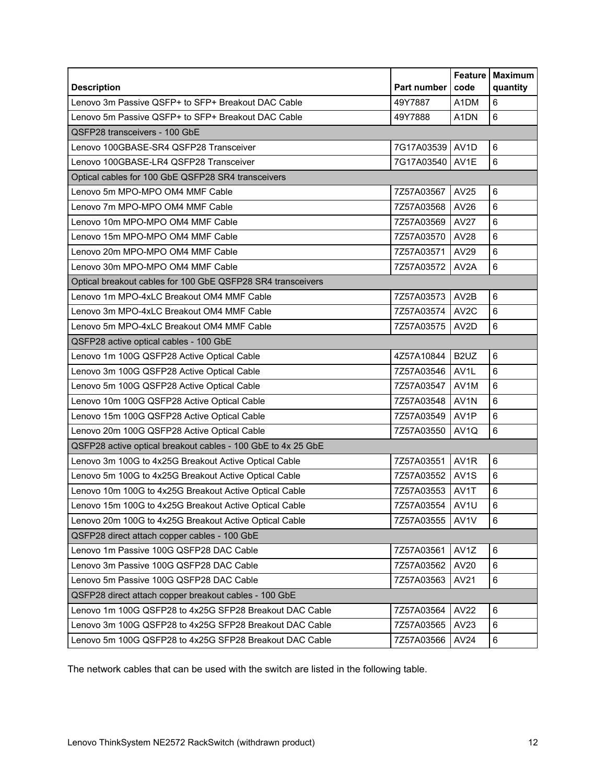|                                                              |             | Feature           | <b>Maximum</b>      |
|--------------------------------------------------------------|-------------|-------------------|---------------------|
| <b>Description</b>                                           | Part number | code              | quantity            |
| Lenovo 3m Passive QSFP+ to SFP+ Breakout DAC Cable           | 49Y7887     | A1DM              | 6<br>$6\phantom{a}$ |
| Lenovo 5m Passive QSFP+ to SFP+ Breakout DAC Cable           | 49Y7888     | A <sub>1</sub> DN |                     |
| QSFP28 transceivers - 100 GbE                                |             |                   |                     |
| Lenovo 100GBASE-SR4 QSFP28 Transceiver                       | 7G17A03539  | AV <sub>1</sub> D | 6                   |
| Lenovo 100GBASE-LR4 QSFP28 Transceiver                       | 7G17A03540  | AV1E              | $6\phantom{a}$      |
| Optical cables for 100 GbE QSFP28 SR4 transceivers           |             |                   |                     |
| Lenovo 5m MPO-MPO OM4 MMF Cable                              | 7Z57A03567  | AV25              | 6                   |
| Lenovo 7m MPO-MPO OM4 MMF Cable                              | 7Z57A03568  | AV26              | 6                   |
| Lenovo 10m MPO-MPO OM4 MMF Cable                             | 7Z57A03569  | AV27              | 6                   |
| Lenovo 15m MPO-MPO OM4 MMF Cable                             | 7Z57A03570  | <b>AV28</b>       | 6                   |
| Lenovo 20m MPO-MPO OM4 MMF Cable                             | 7Z57A03571  | AV29              | 6                   |
| Lenovo 30m MPO-MPO OM4 MMF Cable                             | 7Z57A03572  | AV <sub>2</sub> A | $6\phantom{a}$      |
| Optical breakout cables for 100 GbE QSFP28 SR4 transceivers  |             |                   |                     |
| Lenovo 1m MPO-4xLC Breakout OM4 MMF Cable                    | 7Z57A03573  | AV2B              | $6\phantom{1}$      |
| Lenovo 3m MPO-4xLC Breakout OM4 MMF Cable                    | 7Z57A03574  | AV <sub>2</sub> C | 6                   |
| Lenovo 5m MPO-4xLC Breakout OM4 MMF Cable                    | 7Z57A03575  | AV2D              | $6\phantom{1}$      |
| QSFP28 active optical cables - 100 GbE                       |             |                   |                     |
| Lenovo 1m 100G QSFP28 Active Optical Cable                   | 4Z57A10844  | B <sub>2</sub> UZ | $6\phantom{1}$      |
| Lenovo 3m 100G QSFP28 Active Optical Cable                   | 7Z57A03546  | AV <sub>1</sub> L | 6                   |
| Lenovo 5m 100G QSFP28 Active Optical Cable                   | 7Z57A03547  | AV1M              | $6\phantom{1}$      |
| Lenovo 10m 100G QSFP28 Active Optical Cable                  | 7Z57A03548  | AV <sub>1</sub> N | 6                   |
| Lenovo 15m 100G QSFP28 Active Optical Cable                  | 7Z57A03549  | AV1P              | 6                   |
| Lenovo 20m 100G QSFP28 Active Optical Cable                  | 7Z57A03550  | AV <sub>1</sub> Q | 6                   |
| QSFP28 active optical breakout cables - 100 GbE to 4x 25 GbE |             |                   |                     |
| Lenovo 3m 100G to 4x25G Breakout Active Optical Cable        | 7Z57A03551  | AV1R              | $\,6\,$             |
| Lenovo 5m 100G to 4x25G Breakout Active Optical Cable        | 7Z57A03552  | AV <sub>1</sub> S | 6                   |
| Lenovo 10m 100G to 4x25G Breakout Active Optical Cable       | 7Z57A03553  | AV1T              | 6                   |
| Lenovo 15m 100G to 4x25G Breakout Active Optical Cable       | 7Z57A03554  | AV1U              | $\,6\,$             |
| Lenovo 20m 100G to 4x25G Breakout Active Optical Cable       | 7Z57A03555  | AV1V              | $\,6\,$             |
| QSFP28 direct attach copper cables - 100 GbE                 |             |                   |                     |
| Lenovo 1m Passive 100G QSFP28 DAC Cable                      | 7Z57A03561  | AV1Z              | 6                   |
| Lenovo 3m Passive 100G QSFP28 DAC Cable                      | 7Z57A03562  | AV20              | 6                   |
| Lenovo 5m Passive 100G QSFP28 DAC Cable                      | 7Z57A03563  | AV21              | 6                   |
| QSFP28 direct attach copper breakout cables - 100 GbE        |             |                   |                     |
| Lenovo 1m 100G QSFP28 to 4x25G SFP28 Breakout DAC Cable      | 7Z57A03564  | AV22              | 6                   |
| Lenovo 3m 100G QSFP28 to 4x25G SFP28 Breakout DAC Cable      | 7Z57A03565  | AV23              | 6                   |
| Lenovo 5m 100G QSFP28 to 4x25G SFP28 Breakout DAC Cable      | 7Z57A03566  | AV24              | 6                   |

The network cables that can be used with the switch are listed in the following table.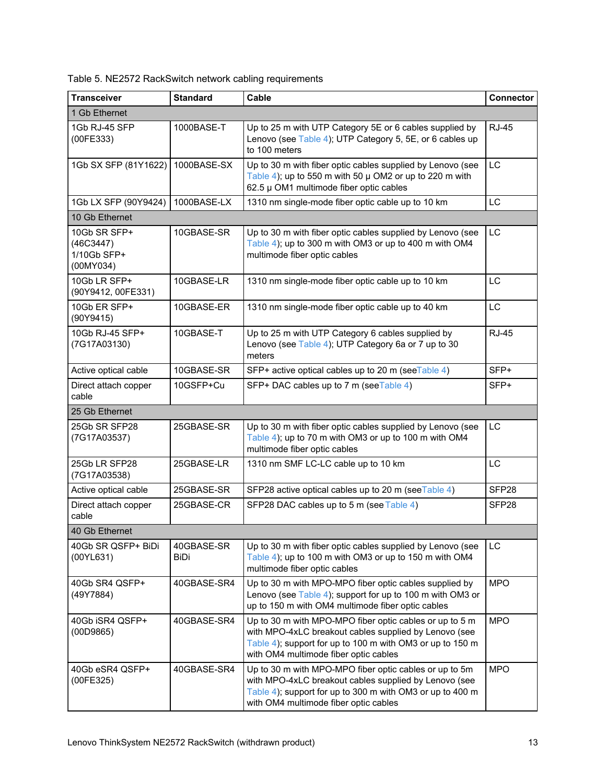| Table 5. NE2572 RackSwitch network cabling requirements |  |  |
|---------------------------------------------------------|--|--|
|                                                         |  |  |

| <b>Transceiver</b>                                    | <b>Standard</b>           | Cable                                                                                                                                                                                                                  | <b>Connector</b>  |
|-------------------------------------------------------|---------------------------|------------------------------------------------------------------------------------------------------------------------------------------------------------------------------------------------------------------------|-------------------|
| 1 Gb Ethernet                                         |                           |                                                                                                                                                                                                                        |                   |
| 1Gb RJ-45 SFP<br>(00FE333)                            | 1000BASE-T                | Up to 25 m with UTP Category 5E or 6 cables supplied by<br>Lenovo (see Table 4); UTP Category 5, 5E, or 6 cables up<br>to 100 meters                                                                                   | <b>RJ-45</b>      |
| 1Gb SX SFP (81Y1622)                                  | 1000BASE-SX               | Up to 30 m with fiber optic cables supplied by Lenovo (see<br>Table 4); up to 550 m with 50 $\mu$ OM2 or up to 220 m with<br>62.5 µ OM1 multimode fiber optic cables                                                   | LC                |
| 1Gb LX SFP (90Y9424)                                  | 1000BASE-LX               | 1310 nm single-mode fiber optic cable up to 10 km                                                                                                                                                                      | LC                |
| 10 Gb Ethernet                                        |                           |                                                                                                                                                                                                                        |                   |
| 10Gb SR SFP+<br>(46C3447)<br>1/10Gb SFP+<br>(00MY034) | 10GBASE-SR                | Up to 30 m with fiber optic cables supplied by Lenovo (see<br>Table 4); up to 300 m with OM3 or up to 400 m with OM4<br>multimode fiber optic cables                                                                   | LC                |
| 10Gb LR SFP+<br>(90Y9412, 00FE331)                    | 10GBASE-LR                | 1310 nm single-mode fiber optic cable up to 10 km                                                                                                                                                                      | LC                |
| 10Gb ER SFP+<br>(90Y9415)                             | 10GBASE-ER                | 1310 nm single-mode fiber optic cable up to 40 km                                                                                                                                                                      | LC                |
| 10Gb RJ-45 SFP+<br>(7G17A03130)                       | 10GBASE-T                 | Up to 25 m with UTP Category 6 cables supplied by<br>Lenovo (see Table 4); UTP Category 6a or 7 up to 30<br>meters                                                                                                     | <b>RJ-45</b>      |
| Active optical cable                                  | 10GBASE-SR                | SFP+ active optical cables up to 20 m (seeTable 4)                                                                                                                                                                     | SFP+              |
| Direct attach copper<br>cable                         | 10GSFP+Cu                 | SFP+ DAC cables up to 7 m (seeTable 4)                                                                                                                                                                                 | SFP+              |
| 25 Gb Ethernet                                        |                           |                                                                                                                                                                                                                        |                   |
| 25Gb SR SFP28<br>(7G17A03537)                         | 25GBASE-SR                | Up to 30 m with fiber optic cables supplied by Lenovo (see<br>Table 4); up to 70 m with OM3 or up to 100 m with OM4<br>multimode fiber optic cables                                                                    | LC                |
| 25Gb LR SFP28<br>(7G17A03538)                         | 25GBASE-LR                | 1310 nm SMF LC-LC cable up to 10 km                                                                                                                                                                                    | LC                |
| Active optical cable                                  | 25GBASE-SR                | SFP28 active optical cables up to 20 m (seeTable 4)                                                                                                                                                                    | SFP <sub>28</sub> |
| Direct attach copper<br>cable                         | 25GBASE-CR                | SFP28 DAC cables up to 5 m (see Table 4)                                                                                                                                                                               | SFP <sub>28</sub> |
| 40 Gb Ethernet                                        |                           |                                                                                                                                                                                                                        |                   |
| 40Gb SR QSFP+ BiDi<br>(00YL631)                       | 40GBASE-SR<br><b>BiDi</b> | Up to 30 m with fiber optic cables supplied by Lenovo (see<br>Table 4); up to 100 m with OM3 or up to 150 m with OM4<br>multimode fiber optic cables                                                                   | LC                |
| 40Gb SR4 QSFP+<br>(49Y7884)                           | 40GBASE-SR4               | Up to 30 m with MPO-MPO fiber optic cables supplied by<br>Lenovo (see Table 4); support for up to 100 m with OM3 or<br>up to 150 m with OM4 multimode fiber optic cables                                               | <b>MPO</b>        |
| 40Gb iSR4 QSFP+<br>(00D9865)                          | 40GBASE-SR4               | Up to 30 m with MPO-MPO fiber optic cables or up to 5 m<br>with MPO-4xLC breakout cables supplied by Lenovo (see<br>Table 4); support for up to 100 m with OM3 or up to 150 m<br>with OM4 multimode fiber optic cables | <b>MPO</b>        |
| 40Gb eSR4 QSFP+<br>(00FE325)                          | 40GBASE-SR4               | Up to 30 m with MPO-MPO fiber optic cables or up to 5m<br>with MPO-4xLC breakout cables supplied by Lenovo (see<br>Table 4); support for up to 300 m with OM3 or up to 400 m<br>with OM4 multimode fiber optic cables  | <b>MPO</b>        |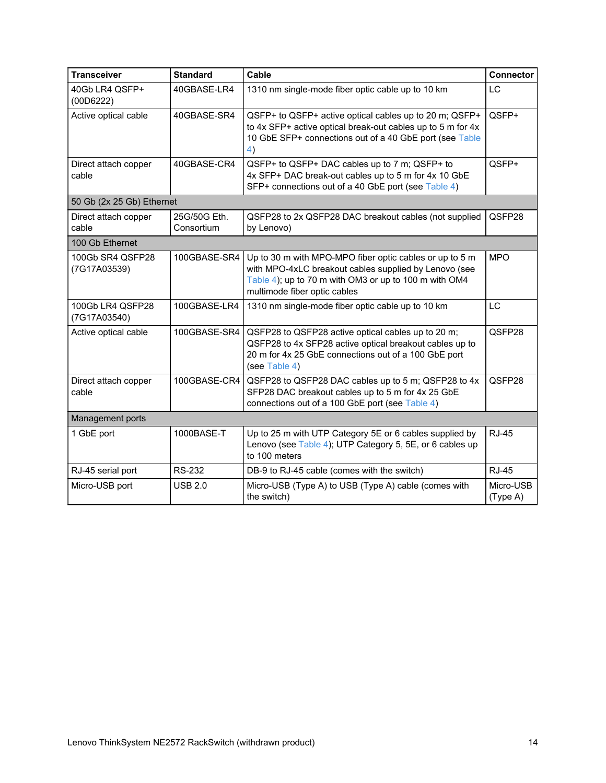| <b>Transceiver</b>               | <b>Standard</b>            | Cable                                                                                                                                                                                                     | <b>Connector</b>      |
|----------------------------------|----------------------------|-----------------------------------------------------------------------------------------------------------------------------------------------------------------------------------------------------------|-----------------------|
| 40Gb LR4 QSFP+<br>(00D6222)      | 40GBASE-LR4                | 1310 nm single-mode fiber optic cable up to 10 km                                                                                                                                                         | <b>LC</b>             |
| Active optical cable             | 40GBASE-SR4                | QSFP+ to QSFP+ active optical cables up to 20 m; QSFP+<br>to 4x SFP+ active optical break-out cables up to 5 m for 4x<br>10 GbE SFP+ connections out of a 40 GbE port (see Table<br>4)                    | QSFP+                 |
| Direct attach copper<br>cable    | 40GBASE-CR4                | QSFP+ to QSFP+ DAC cables up to 7 m; QSFP+ to<br>4x SFP+ DAC break-out cables up to 5 m for 4x 10 GbE<br>SFP+ connections out of a 40 GbE port (see Table 4)                                              | QSFP+                 |
| 50 Gb (2x 25 Gb) Ethernet        |                            |                                                                                                                                                                                                           |                       |
| Direct attach copper<br>cable    | 25G/50G Eth.<br>Consortium | QSFP28 to 2x QSFP28 DAC breakout cables (not supplied<br>by Lenovo)                                                                                                                                       | QSFP28                |
| 100 Gb Ethernet                  |                            |                                                                                                                                                                                                           |                       |
| 100Gb SR4 QSFP28<br>(7G17A03539) | 100GBASE-SR4               | Up to 30 m with MPO-MPO fiber optic cables or up to 5 m<br>with MPO-4xLC breakout cables supplied by Lenovo (see<br>Table 4); up to 70 m with OM3 or up to 100 m with OM4<br>multimode fiber optic cables | <b>MPO</b>            |
| 100Gb LR4 QSFP28<br>(7G17A03540) | 100GBASE-LR4               | 1310 nm single-mode fiber optic cable up to 10 km                                                                                                                                                         | <b>LC</b>             |
| Active optical cable             | 100GBASE-SR4               | QSFP28 to QSFP28 active optical cables up to 20 m;<br>QSFP28 to 4x SFP28 active optical breakout cables up to<br>20 m for 4x 25 GbE connections out of a 100 GbE port<br>(see Table 4)                    | QSFP28                |
| Direct attach copper<br>cable    | 100GBASE-CR4               | QSFP28 to QSFP28 DAC cables up to 5 m; QSFP28 to 4x<br>SFP28 DAC breakout cables up to 5 m for 4x 25 GbE<br>connections out of a 100 GbE port (see Table 4)                                               | QSFP28                |
| Management ports                 |                            |                                                                                                                                                                                                           |                       |
| 1 GbE port                       | 1000BASE-T                 | Up to 25 m with UTP Category 5E or 6 cables supplied by<br>Lenovo (see Table 4); UTP Category 5, 5E, or 6 cables up<br>to 100 meters                                                                      | <b>RJ-45</b>          |
| RJ-45 serial port                | <b>RS-232</b>              | DB-9 to RJ-45 cable (comes with the switch)                                                                                                                                                               | <b>RJ-45</b>          |
| Micro-USB port                   | <b>USB 2.0</b>             | Micro-USB (Type A) to USB (Type A) cable (comes with<br>the switch)                                                                                                                                       | Micro-USB<br>(Type A) |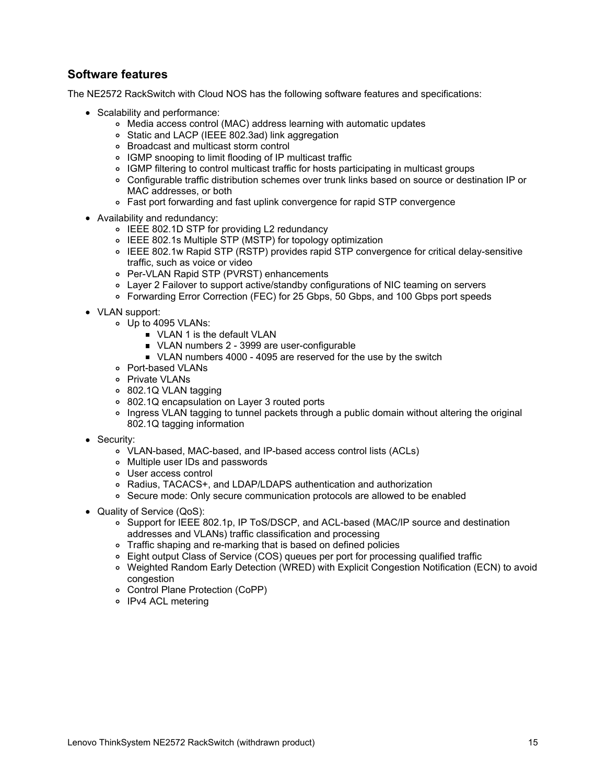### **Software features**

The NE2572 RackSwitch with Cloud NOS has the following software features and specifications:

- Scalability and performance:
	- Media access control (MAC) address learning with automatic updates
	- Static and LACP (IEEE 802.3ad) link aggregation
	- Broadcast and multicast storm control
	- IGMP snooping to limit flooding of IP multicast traffic
	- IGMP filtering to control multicast traffic for hosts participating in multicast groups
	- Configurable traffic distribution schemes over trunk links based on source or destination IP or MAC addresses, or both
	- Fast port forwarding and fast uplink convergence for rapid STP convergence
- Availability and redundancy:
	- IEEE 802.1D STP for providing L2 redundancy
	- IEEE 802.1s Multiple STP (MSTP) for topology optimization
	- IEEE 802.1w Rapid STP (RSTP) provides rapid STP convergence for critical delay-sensitive traffic, such as voice or video
	- Per-VLAN Rapid STP (PVRST) enhancements
	- Layer 2 Failover to support active/standby configurations of NIC teaming on servers
	- Forwarding Error Correction (FEC) for 25 Gbps, 50 Gbps, and 100 Gbps port speeds
- VLAN support:
	- Up to 4095 VLANs:
		- **VLAN 1 is the default VLAN**
		- ULAN numbers 2 3999 are user-configurable
		- ULAN numbers 4000 4095 are reserved for the use by the switch
	- Port-based VLANs
	- o Private VLANs
	- 802.1Q VLAN tagging
	- 802.1Q encapsulation on Layer 3 routed ports
	- Ingress VLAN tagging to tunnel packets through a public domain without altering the original 802.1Q tagging information
- Security:
	- VLAN-based, MAC-based, and IP-based access control lists (ACLs)
	- Multiple user IDs and passwords
	- User access control
	- Radius, TACACS+, and LDAP/LDAPS authentication and authorization
	- o Secure mode: Only secure communication protocols are allowed to be enabled
- Quality of Service (QoS):
	- o Support for IEEE 802.1p, IP ToS/DSCP, and ACL-based (MAC/IP source and destination addresses and VLANs) traffic classification and processing
	- Traffic shaping and re-marking that is based on defined policies
	- Eight output Class of Service (COS) queues per port for processing qualified traffic
	- Weighted Random Early Detection (WRED) with Explicit Congestion Notification (ECN) to avoid congestion
	- Control Plane Protection (CoPP)
	- o IPv4 ACL metering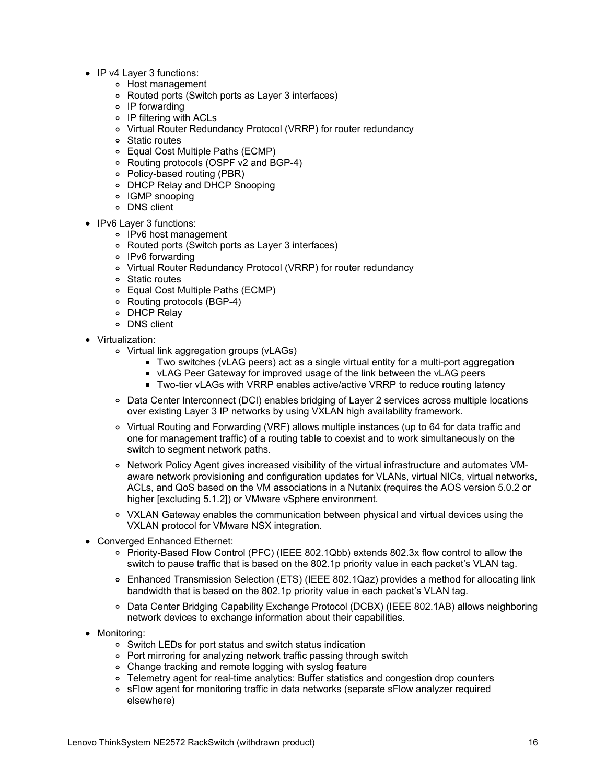- IP v4 Laver 3 functions:
	- Host management
	- Routed ports (Switch ports as Layer 3 interfaces)
	- IP forwarding
	- IP filtering with ACLs
	- Virtual Router Redundancy Protocol (VRRP) for router redundancy
	- Static routes
	- Equal Cost Multiple Paths (ECMP)
	- Routing protocols (OSPF v2 and BGP-4)
	- Policy-based routing (PBR)
	- DHCP Relay and DHCP Snooping
	- IGMP snooping
	- DNS client
- IPv6 Layer 3 functions:
	- IPv6 host management
	- Routed ports (Switch ports as Layer 3 interfaces)
	- o IPv6 forwarding
	- Virtual Router Redundancy Protocol (VRRP) for router redundancy
	- Static routes
	- Equal Cost Multiple Paths (ECMP)
	- Routing protocols (BGP-4)
	- DHCP Relay
	- DNS client
- Virtualization:
	- Virtual link aggregation groups (vLAGs)
		- Two switches (vLAG peers) act as a single virtual entity for a multi-port aggregation
		- vLAG Peer Gateway for improved usage of the link between the vLAG peers
		- Two-tier vLAGs with VRRP enables active/active VRRP to reduce routing latency
	- Data Center Interconnect (DCI) enables bridging of Layer 2 services across multiple locations over existing Layer 3 IP networks by using VXLAN high availability framework.
	- Virtual Routing and Forwarding (VRF) allows multiple instances (up to 64 for data traffic and one for management traffic) of a routing table to coexist and to work simultaneously on the switch to segment network paths.
	- o Network Policy Agent gives increased visibility of the virtual infrastructure and automates VMaware network provisioning and configuration updates for VLANs, virtual NICs, virtual networks, ACLs, and QoS based on the VM associations in a Nutanix (requires the AOS version 5.0.2 or higher [excluding 5.1.2]) or VMware vSphere environment.
	- VXLAN Gateway enables the communication between physical and virtual devices using the VXLAN protocol for VMware NSX integration.
- Converged Enhanced Ethernet:
	- Priority-Based Flow Control (PFC) (IEEE 802.1Qbb) extends 802.3x flow control to allow the switch to pause traffic that is based on the 802.1p priority value in each packet's VLAN tag.
	- Enhanced Transmission Selection (ETS) (IEEE 802.1Qaz) provides a method for allocating link bandwidth that is based on the 802.1p priority value in each packet's VLAN tag.
	- Data Center Bridging Capability Exchange Protocol (DCBX) (IEEE 802.1AB) allows neighboring network devices to exchange information about their capabilities.
- Monitoring:
	- Switch LEDs for port status and switch status indication
	- Port mirroring for analyzing network traffic passing through switch
	- Change tracking and remote logging with syslog feature
	- Telemetry agent for real-time analytics: Buffer statistics and congestion drop counters
	- sFlow agent for monitoring traffic in data networks (separate sFlow analyzer required elsewhere)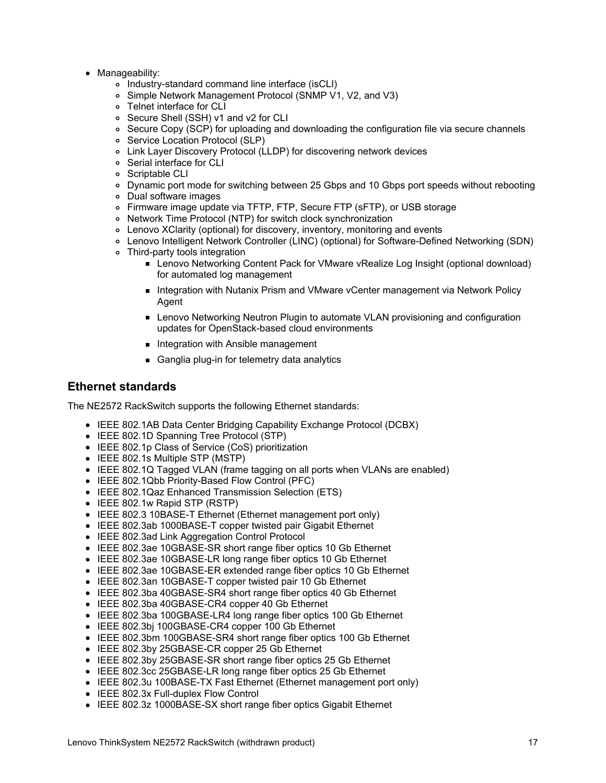- Manageability:
	- Industry-standard command line interface (isCLI)
	- Simple Network Management Protocol (SNMP V1, V2, and V3)
	- Telnet interface for CLI
	- Secure Shell (SSH) v1 and v2 for CLI
	- o Secure Copy (SCP) for uploading and downloading the configuration file via secure channels
	- o Service Location Protocol (SLP)
	- Link Layer Discovery Protocol (LLDP) for discovering network devices
	- Serial interface for CLI
	- o Scriptable CLI
	- Dynamic port mode for switching between 25 Gbps and 10 Gbps port speeds without rebooting
	- Dual software images
	- Firmware image update via TFTP, FTP, Secure FTP (sFTP), or USB storage
	- Network Time Protocol (NTP) for switch clock synchronization
	- Lenovo XClarity (optional) for discovery, inventory, monitoring and events
	- Lenovo Intelligent Network Controller (LINC) (optional) for Software-Defined Networking (SDN)
	- Third-party tools integration
		- **Lenovo Networking Content Pack for VMware vRealize Log Insight (optional download)** for automated log management
		- **Integration with Nutanix Prism and VMware vCenter management via Network Policy** Agent
		- **Lenovo Networking Neutron Plugin to automate VLAN provisioning and configuration** updates for OpenStack-based cloud environments
		- **Integration with Ansible management**
		- Ganglia plug-in for telemetry data analytics

### **Ethernet standards**

The NE2572 RackSwitch supports the following Ethernet standards:

- IEEE 802.1AB Data Center Bridging Capability Exchange Protocol (DCBX)
- IEEE 802.1D Spanning Tree Protocol (STP)
- IEEE 802.1p Class of Service (CoS) prioritization
- IEEE 802.1s Multiple STP (MSTP)
- IEEE 802.1Q Tagged VLAN (frame tagging on all ports when VLANs are enabled)
- IEEE 802.1Qbb Priority-Based Flow Control (PFC)
- IEEE 802.1Qaz Enhanced Transmission Selection (ETS)
- IEEE 802.1w Rapid STP (RSTP)
- IEEE 802.3 10BASE-T Ethernet (Ethernet management port only)
- IEEE 802.3ab 1000BASE-T copper twisted pair Gigabit Ethernet
- IEEE 802.3ad Link Aggregation Control Protocol
- IEEE 802.3ae 10GBASE-SR short range fiber optics 10 Gb Ethernet
- IEEE 802.3ae 10GBASE-LR long range fiber optics 10 Gb Ethernet
- IEEE 802.3ae 10GBASE-ER extended range fiber optics 10 Gb Ethernet
- IEEE 802.3an 10GBASE-T copper twisted pair 10 Gb Ethernet
- IEEE 802.3ba 40GBASE-SR4 short range fiber optics 40 Gb Ethernet
- IEEE 802.3ba 40GBASE-CR4 copper 40 Gb Ethernet
- IEEE 802.3ba 100GBASE-LR4 long range fiber optics 100 Gb Ethernet
- IEEE 802.3bj 100GBASE-CR4 copper 100 Gb Ethernet
- IEEE 802.3bm 100GBASE-SR4 short range fiber optics 100 Gb Ethernet
- IEEE 802.3by 25GBASE-CR copper 25 Gb Ethernet
- IEEE 802.3by 25GBASE-SR short range fiber optics 25 Gb Ethernet
- IEEE 802.3cc 25GBASE-LR long range fiber optics 25 Gb Ethernet
- IEEE 802.3u 100BASE-TX Fast Ethernet (Ethernet management port only)
- IEEE 802.3x Full-duplex Flow Control
- IEEE 802.3z 1000BASE-SX short range fiber optics Gigabit Ethernet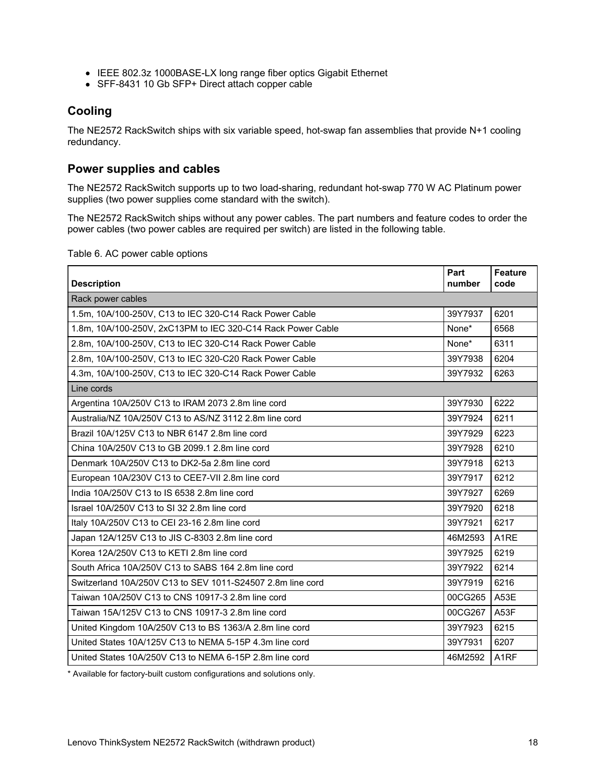- IEEE 802.3z 1000BASE-LX long range fiber optics Gigabit Ethernet
- SFF-8431 10 Gb SFP+ Direct attach copper cable

### **Cooling**

The NE2572 RackSwitch ships with six variable speed, hot-swap fan assemblies that provide N+1 cooling redundancy.

### <span id="page-17-0"></span>**Power supplies and cables**

The NE2572 RackSwitch supports up to two load-sharing, redundant hot-swap 770 W AC Platinum power supplies (two power supplies come standard with the switch).

The NE2572 RackSwitch ships without any power cables. The part numbers and feature codes to order the power cables (two power cables are required per switch) are listed in the following table.

Table 6. AC power cable options

| <b>Description</b>                                          | Part<br>number | <b>Feature</b><br>code |
|-------------------------------------------------------------|----------------|------------------------|
| Rack power cables                                           |                |                        |
| 1.5m, 10A/100-250V, C13 to IEC 320-C14 Rack Power Cable     | 39Y7937        | 6201                   |
| 1.8m, 10A/100-250V, 2xC13PM to IEC 320-C14 Rack Power Cable | None*          | 6568                   |
| 2.8m, 10A/100-250V, C13 to IEC 320-C14 Rack Power Cable     | None*          | 6311                   |
| 2.8m, 10A/100-250V, C13 to IEC 320-C20 Rack Power Cable     | 39Y7938        | 6204                   |
| 4.3m, 10A/100-250V, C13 to IEC 320-C14 Rack Power Cable     | 39Y7932        | 6263                   |
| Line cords                                                  |                |                        |
| Argentina 10A/250V C13 to IRAM 2073 2.8m line cord          | 39Y7930        | 6222                   |
| Australia/NZ 10A/250V C13 to AS/NZ 3112 2.8m line cord      | 39Y7924        | 6211                   |
| Brazil 10A/125V C13 to NBR 6147 2.8m line cord              | 39Y7929        | 6223                   |
| China 10A/250V C13 to GB 2099.1 2.8m line cord              | 39Y7928        | 6210                   |
| Denmark 10A/250V C13 to DK2-5a 2.8m line cord               | 39Y7918        | 6213                   |
| European 10A/230V C13 to CEE7-VII 2.8m line cord            | 39Y7917        | 6212                   |
| India 10A/250V C13 to IS 6538 2.8m line cord                | 39Y7927        | 6269                   |
| Israel 10A/250V C13 to SI 32 2.8m line cord                 | 39Y7920        | 6218                   |
| Italy 10A/250V C13 to CEI 23-16 2.8m line cord              | 39Y7921        | 6217                   |
| Japan 12A/125V C13 to JIS C-8303 2.8m line cord             | 46M2593        | A <sub>1</sub> RE      |
| Korea 12A/250V C13 to KETI 2.8m line cord                   | 39Y7925        | 6219                   |
| South Africa 10A/250V C13 to SABS 164 2.8m line cord        | 39Y7922        | 6214                   |
| Switzerland 10A/250V C13 to SEV 1011-S24507 2.8m line cord  | 39Y7919        | 6216                   |
| Taiwan 10A/250V C13 to CNS 10917-3 2.8m line cord           | 00CG265        | A53E                   |
| Taiwan 15A/125V C13 to CNS 10917-3 2.8m line cord           | 00CG267        | A53F                   |
| United Kingdom 10A/250V C13 to BS 1363/A 2.8m line cord     | 39Y7923        | 6215                   |
| United States 10A/125V C13 to NEMA 5-15P 4.3m line cord     | 39Y7931        | 6207                   |
| United States 10A/250V C13 to NEMA 6-15P 2.8m line cord     | 46M2592        | A <sub>1</sub> RF      |

\* Available for factory-built custom configurations and solutions only.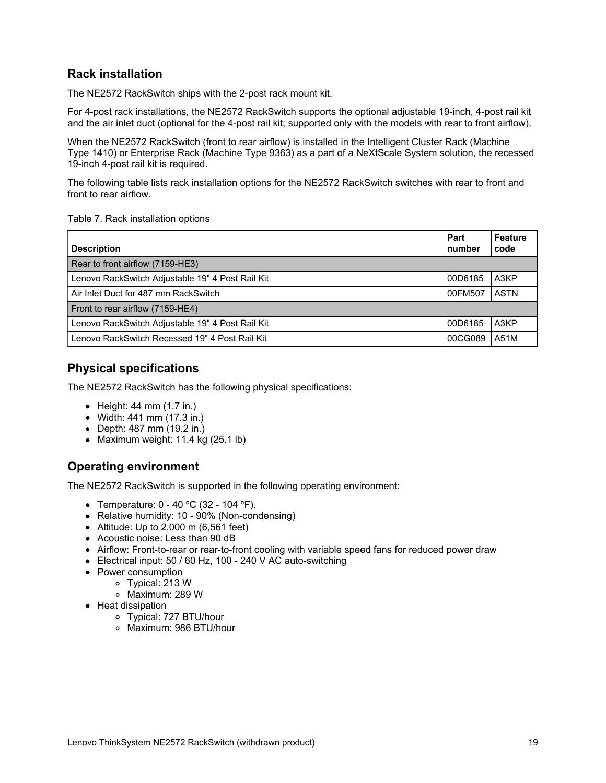## **Rack installation**

The NE2572 RackSwitch ships with the 2-post rack mount kit.

For 4-post rack installations, the NE2572 RackSwitch supports the optional adjustable 19-inch, 4-post rail kit and the air inlet duct (optional for the 4-post rail kit; supported only with the models with rear to front airflow).

When the NE2572 RackSwitch (front to rear airflow) is installed in the Intelligent Cluster Rack (Machine Type 1410) or Enterprise Rack (Machine Type 9363) as a part of a NeXtScale System solution, the recessed 19-inch 4-post rail kit is required.

The following table lists rack installation options for the NE2572 RackSwitch switches with rear to front and front to rear airflow.

#### Table 7. Rack installation options

| <b>Description</b>                               | Part<br>number | <b>Feature</b><br>code |
|--------------------------------------------------|----------------|------------------------|
| Rear to front airflow (7159-HE3)                 |                |                        |
| Lenovo RackSwitch Adjustable 19" 4 Post Rail Kit | 00D6185        | A3KP                   |
| Air Inlet Duct for 487 mm RackSwitch             | 00FM507        | <b>ASTN</b>            |
| Front to rear airflow (7159-HE4)                 |                |                        |
| Lenovo RackSwitch Adjustable 19" 4 Post Rail Kit | 00D6185        | A3KP                   |
| Lenovo RackSwitch Recessed 19" 4 Post Rail Kit   | 00CG089        | A51M                   |

#### **Physical specifications**

The NE2572 RackSwitch has the following physical specifications:

- $\bullet$  Height: 44 mm (1.7 in.)
- Width: 441 mm (17.3 in.)
- Depth: 487 mm (19.2 in.)
- Maximum weight: 11.4 kg (25.1 lb)

#### **Operating environment**

The NE2572 RackSwitch is supported in the following operating environment:

- Temperature: 0 40 ºC (32 104 ºF).
- Relative humidity: 10 90% (Non-condensing)
- Altitude: Up to  $2,000$  m (6,561 feet)
- Acoustic noise: Less than 90 dB
- Airflow: Front-to-rear or rear-to-front cooling with variable speed fans for reduced power draw
- Electrical input: 50 / 60 Hz, 100 240 V AC auto-switching
- Power consumption
	- Typical: 213 W
		- Maximum: 289 W
- Heat dissipation
	- Typical: 727 BTU/hour
	- Maximum: 986 BTU/hour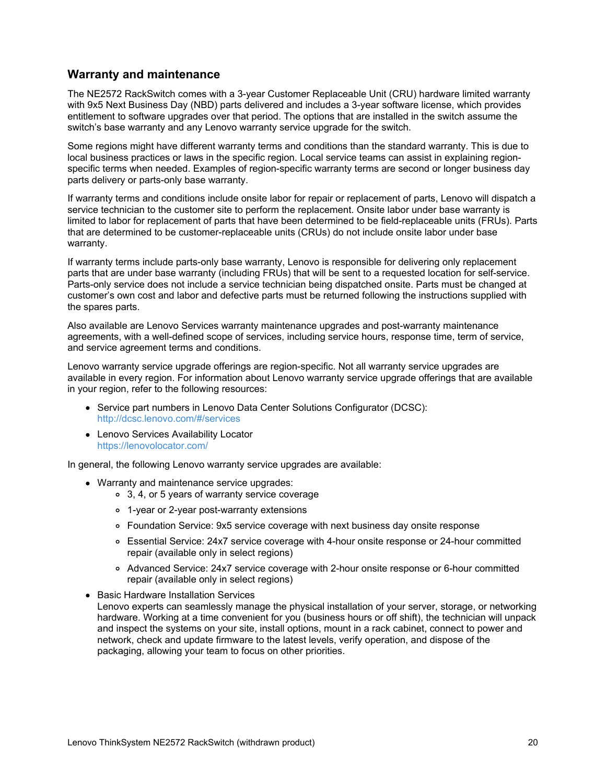#### **Warranty and maintenance**

The NE2572 RackSwitch comes with a 3-year Customer Replaceable Unit (CRU) hardware limited warranty with 9x5 Next Business Day (NBD) parts delivered and includes a 3-year software license, which provides entitlement to software upgrades over that period. The options that are installed in the switch assume the switch's base warranty and any Lenovo warranty service upgrade for the switch.

Some regions might have different warranty terms and conditions than the standard warranty. This is due to local business practices or laws in the specific region. Local service teams can assist in explaining regionspecific terms when needed. Examples of region-specific warranty terms are second or longer business day parts delivery or parts-only base warranty.

If warranty terms and conditions include onsite labor for repair or replacement of parts, Lenovo will dispatch a service technician to the customer site to perform the replacement. Onsite labor under base warranty is limited to labor for replacement of parts that have been determined to be field-replaceable units (FRUs). Parts that are determined to be customer-replaceable units (CRUs) do not include onsite labor under base warranty.

If warranty terms include parts-only base warranty, Lenovo is responsible for delivering only replacement parts that are under base warranty (including FRUs) that will be sent to a requested location for self-service. Parts-only service does not include a service technician being dispatched onsite. Parts must be changed at customer's own cost and labor and defective parts must be returned following the instructions supplied with the spares parts.

Also available are Lenovo Services warranty maintenance upgrades and post-warranty maintenance agreements, with a well-defined scope of services, including service hours, response time, term of service, and service agreement terms and conditions.

Lenovo warranty service upgrade offerings are region-specific. Not all warranty service upgrades are available in every region. For information about Lenovo warranty service upgrade offerings that are available in your region, refer to the following resources:

- Service part numbers in Lenovo Data Center Solutions Configurator (DCSC): <http://dcsc.lenovo.com/#/services>
- Lenovo Services Availability Locator <https://lenovolocator.com/>

In general, the following Lenovo warranty service upgrades are available:

- Warranty and maintenance service upgrades:
	- 3, 4, or 5 years of warranty service coverage
	- 1-year or 2-year post-warranty extensions
	- Foundation Service: 9x5 service coverage with next business day onsite response
	- Essential Service: 24x7 service coverage with 4-hour onsite response or 24-hour committed repair (available only in select regions)
	- Advanced Service: 24x7 service coverage with 2-hour onsite response or 6-hour committed repair (available only in select regions)
- Basic Hardware Installation Services
- Lenovo experts can seamlessly manage the physical installation of your server, storage, or networking hardware. Working at a time convenient for you (business hours or off shift), the technician will unpack and inspect the systems on your site, install options, mount in a rack cabinet, connect to power and network, check and update firmware to the latest levels, verify operation, and dispose of the packaging, allowing your team to focus on other priorities.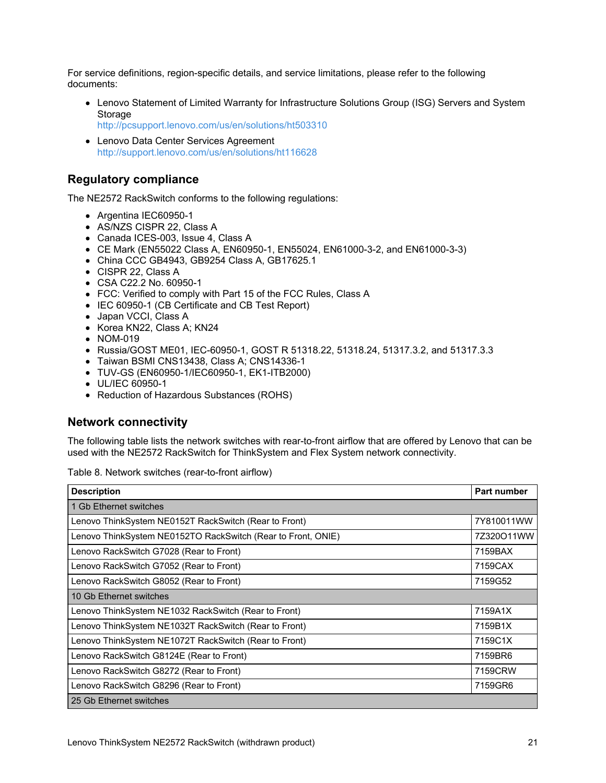For service definitions, region-specific details, and service limitations, please refer to the following documents:

- Lenovo Statement of Limited Warranty for Infrastructure Solutions Group (ISG) Servers and System Storage
	- <http://pcsupport.lenovo.com/us/en/solutions/ht503310>
- Lenovo Data Center Services Agreement <http://support.lenovo.com/us/en/solutions/ht116628>

#### **Regulatory compliance**

The NE2572 RackSwitch conforms to the following regulations:

- Argentina IEC60950-1
- AS/NZS CISPR 22, Class A
- Canada ICES-003, Issue 4, Class A
- CE Mark (EN55022 Class A, EN60950-1, EN55024, EN61000-3-2, and EN61000-3-3)
- China CCC GB4943, GB9254 Class A, GB17625.1
- CISPR 22, Class A
- CSA C22.2 No. 60950-1
- FCC: Verified to comply with Part 15 of the FCC Rules, Class A
- IEC 60950-1 (CB Certificate and CB Test Report)
- Japan VCCI, Class A
- Korea KN22, Class A; KN24
- NOM-019
- Russia/GOST ME01, IEC-60950-1, GOST R 51318.22, 51318.24, 51317.3.2, and 51317.3.3
- Taiwan BSMI CNS13438, Class A; CNS14336-1
- TUV-GS (EN60950-1/IEC60950-1, EK1-ITB2000)
- UL/IEC 60950-1
- Reduction of Hazardous Substances (ROHS)

#### **Network connectivity**

The following table lists the network switches with rear-to-front airflow that are offered by Lenovo that can be used with the NE2572 RackSwitch for ThinkSystem and Flex System network connectivity.

Table 8. Network switches (rear-to-front airflow)

| <b>Description</b>                                           | Part number |
|--------------------------------------------------------------|-------------|
| 1 Gb Ethernet switches                                       |             |
| Lenovo ThinkSystem NE0152T RackSwitch (Rear to Front)        | 7Y810011WW  |
| Lenovo ThinkSystem NE0152TO RackSwitch (Rear to Front, ONIE) | 7Z320O11WW  |
| Lenovo RackSwitch G7028 (Rear to Front)                      | 7159BAX     |
| Lenovo RackSwitch G7052 (Rear to Front)                      | 7159CAX     |
| Lenovo RackSwitch G8052 (Rear to Front)                      | 7159G52     |
| 10 Gb Ethernet switches                                      |             |
| Lenovo ThinkSystem NE1032 RackSwitch (Rear to Front)         | 7159A1X     |
| Lenovo ThinkSystem NE1032T RackSwitch (Rear to Front)        | 7159B1X     |
| Lenovo ThinkSystem NE1072T RackSwitch (Rear to Front)        | 7159C1X     |
| Lenovo RackSwitch G8124E (Rear to Front)                     | 7159BR6     |
| Lenovo RackSwitch G8272 (Rear to Front)                      | 7159CRW     |
| Lenovo RackSwitch G8296 (Rear to Front)                      | 7159GR6     |
| 25 Gb Ethernet switches                                      |             |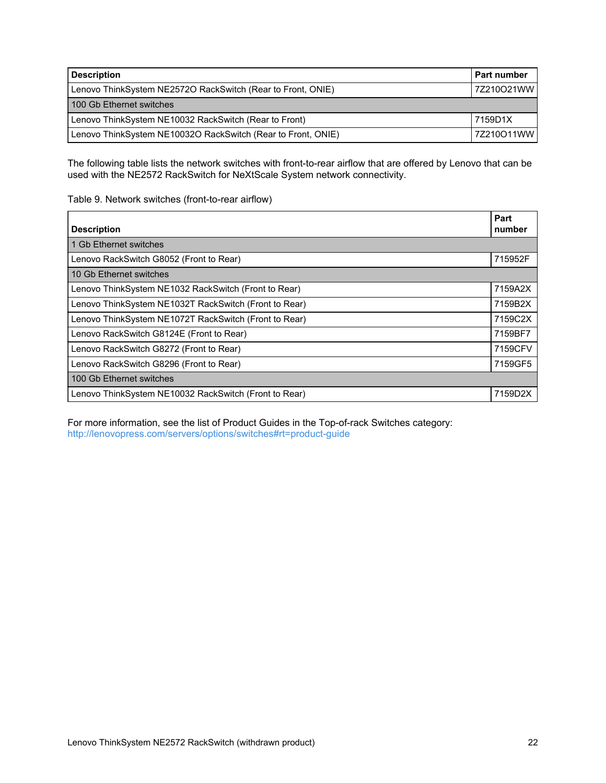| <b>Description</b>                                           | <b>Part number</b> |
|--------------------------------------------------------------|--------------------|
| Lenovo ThinkSystem NE2572O RackSwitch (Rear to Front, ONIE)  | 7Z210O21WW         |
| 100 Gb Ethernet switches                                     |                    |
| Lenovo ThinkSystem NE10032 RackSwitch (Rear to Front)        | 7159D1X            |
| Lenovo ThinkSystem NE10032O RackSwitch (Rear to Front, ONIE) | 7Z210O11WW         |

The following table lists the network switches with front-to-rear airflow that are offered by Lenovo that can be used with the NE2572 RackSwitch for NeXtScale System network connectivity.

#### Table 9. Network switches (front-to-rear airflow)

| <b>Description</b>                                    | Part<br>number |
|-------------------------------------------------------|----------------|
| 1 Gb Ethernet switches                                |                |
| Lenovo RackSwitch G8052 (Front to Rear)               | 715952F        |
| 10 Gb Ethernet switches                               |                |
| Lenovo ThinkSystem NE1032 RackSwitch (Front to Rear)  | 7159A2X        |
| Lenovo ThinkSystem NE1032T RackSwitch (Front to Rear) | 7159B2X        |
| Lenovo ThinkSystem NE1072T RackSwitch (Front to Rear) | 7159C2X        |
| Lenovo RackSwitch G8124E (Front to Rear)              | 7159BF7        |
| Lenovo RackSwitch G8272 (Front to Rear)               | 7159CFV        |
| Lenovo RackSwitch G8296 (Front to Rear)               | 7159GF5        |
| 100 Gb Ethernet switches                              |                |
| Lenovo ThinkSystem NE10032 RackSwitch (Front to Rear) | 7159D2>        |

For more information, see the list of Product Guides in the Top-of-rack Switches category: <http://lenovopress.com/servers/options/switches#rt=product-guide>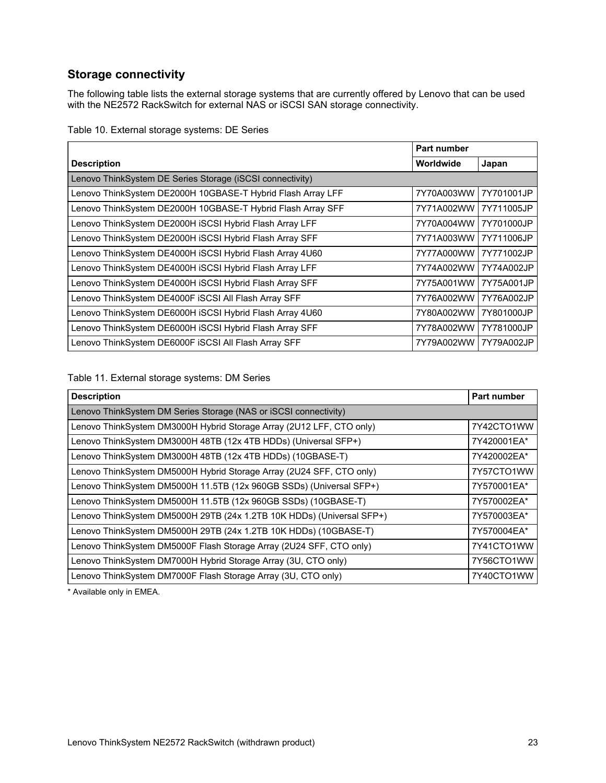## **Storage connectivity**

The following table lists the external storage systems that are currently offered by Lenovo that can be used with the NE2572 RackSwitch for external NAS or iSCSI SAN storage connectivity.

|  |  |  | Table 10. External storage systems: DE Series |  |  |
|--|--|--|-----------------------------------------------|--|--|
|--|--|--|-----------------------------------------------|--|--|

| Part number                                                 |            |            |
|-------------------------------------------------------------|------------|------------|
| <b>Description</b>                                          | Worldwide  | Japan      |
| Lenovo ThinkSystem DE Series Storage (iSCSI connectivity)   |            |            |
| Lenovo ThinkSystem DE2000H 10GBASE-T Hybrid Flash Array LFF | 7Y70A003WW | 7Y701001JP |
| Lenovo ThinkSystem DE2000H 10GBASE-T Hybrid Flash Array SFF | 7Y71A002WW | 7Y711005JP |
| Lenovo ThinkSystem DE2000H iSCSI Hybrid Flash Array LFF     | 7Y70A004WW | 7Y701000JP |
| Lenovo ThinkSystem DE2000H iSCSI Hybrid Flash Array SFF     | 7Y71A003WW | 7Y711006JP |
| Lenovo ThinkSystem DE4000H iSCSI Hybrid Flash Array 4U60    | 7Y77A000WW | 7Y771002JP |
| Lenovo ThinkSystem DE4000H iSCSI Hybrid Flash Array LFF     | 7Y74A002WW | 7Y74A002JP |
| Lenovo ThinkSystem DE4000H iSCSI Hybrid Flash Array SFF     | 7Y75A001WW | 7Y75A001JP |
| Lenovo ThinkSystem DE4000F iSCSI All Flash Array SFF        | 7Y76A002WW | 7Y76A002JP |
| Lenovo ThinkSystem DE6000H iSCSI Hybrid Flash Array 4U60    | 7Y80A002WW | 7Y801000JP |
| Lenovo ThinkSystem DE6000H iSCSI Hybrid Flash Array SFF     | 7Y78A002WW | 7Y781000JP |
| Lenovo ThinkSystem DE6000F ISCSI All Flash Array SFF        | 7Y79A002WW | 7Y79A002JP |

#### Table 11. External storage systems: DM Series

| <b>Description</b>                                                    | Part number |
|-----------------------------------------------------------------------|-------------|
| Lenovo ThinkSystem DM Series Storage (NAS or iSCSI connectivity)      |             |
| Lenovo ThinkSystem DM3000H Hybrid Storage Array (2U12 LFF, CTO only)  | 7Y42CTO1WW  |
| Lenovo ThinkSystem DM3000H 48TB (12x 4TB HDDs) (Universal SFP+)       | 7Y420001EA* |
| Lenovo ThinkSystem DM3000H 48TB (12x 4TB HDDs) (10GBASE-T)            | 7Y420002EA* |
| Lenovo ThinkSystem DM5000H Hybrid Storage Array (2U24 SFF, CTO only)  | 7Y57CTO1WW  |
| Lenovo ThinkSystem DM5000H 11.5TB (12x 960GB SSDs) (Universal SFP+)   | 7Y570001EA* |
| Lenovo ThinkSystem DM5000H 11.5TB (12x 960GB SSDs) (10GBASE-T)        | 7Y570002EA* |
| Lenovo ThinkSystem DM5000H 29TB (24x 1.2TB 10K HDDs) (Universal SFP+) | 7Y570003EA* |
| Lenovo ThinkSystem DM5000H 29TB (24x 1.2TB 10K HDDs) (10GBASE-T)      | 7Y570004EA* |
| Lenovo ThinkSystem DM5000F Flash Storage Array (2U24 SFF, CTO only)   | 7Y41CTO1WW  |
| Lenovo ThinkSystem DM7000H Hybrid Storage Array (3U, CTO only)        | 7Y56CTO1WW  |
| Lenovo ThinkSystem DM7000F Flash Storage Array (3U, CTO only)         | 7Y40CTO1WW  |

\* Available only in EMEA.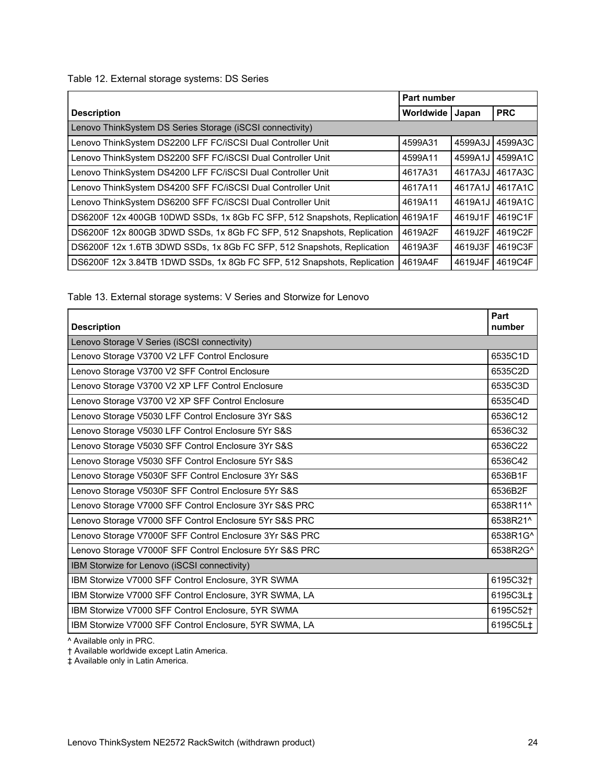Table 12. External storage systems: DS Series

|                                                                                 | Part number |         |            |
|---------------------------------------------------------------------------------|-------------|---------|------------|
| <b>Description</b>                                                              | Worldwide   | Japan   | <b>PRC</b> |
| Lenovo ThinkSystem DS Series Storage (iSCSI connectivity)                       |             |         |            |
| Lenovo ThinkSystem DS2200 LFF FC/iSCSI Dual Controller Unit                     | 4599A31     | 4599A3J | 4599A3C    |
| Lenovo ThinkSystem DS2200 SFF FC/iSCSI Dual Controller Unit                     | 4599A11     | 4599A1J | 4599A1C    |
| Lenovo ThinkSystem DS4200 LFF FC/iSCSI Dual Controller Unit                     | 4617A31     | 4617A3J | 4617A3C    |
| Lenovo ThinkSystem DS4200 SFF FC/iSCSI Dual Controller Unit                     | 4617A11     | 4617A1J | 4617A1C    |
| Lenovo ThinkSystem DS6200 SFF FC/iSCSI Dual Controller Unit                     | 4619A11     | 4619A1J | 4619A1C    |
| DS6200F 12x 400GB 10DWD SSDs, 1x 8Gb FC SFP, 512 Snapshots, Replication 4619A1F |             | 4619J1F | 4619C1F    |
| DS6200F 12x 800GB 3DWD SSDs, 1x 8Gb FC SFP, 512 Snapshots, Replication          | 4619A2F     | 4619J2F | 4619C2F    |
| DS6200F 12x 1.6TB 3DWD SSDs, 1x 8Gb FC SFP, 512 Snapshots, Replication          | 4619A3F     | 4619J3F | 4619C3F    |
| DS6200F 12x 3.84TB 1DWD SSDs, 1x 8Gb FC SFP, 512 Snapshots, Replication         | 4619A4F     | 4619J4F | 4619C4F    |

Table 13. External storage systems: V Series and Storwize for Lenovo

| <b>Description</b>                                      | Part<br>number       |
|---------------------------------------------------------|----------------------|
| Lenovo Storage V Series (iSCSI connectivity)            |                      |
| Lenovo Storage V3700 V2 LFF Control Enclosure           | 6535C1D              |
| Lenovo Storage V3700 V2 SFF Control Enclosure           | 6535C2D              |
| Lenovo Storage V3700 V2 XP LFF Control Enclosure        | 6535C3D              |
| Lenovo Storage V3700 V2 XP SFF Control Enclosure        | 6535C4D              |
| Lenovo Storage V5030 LFF Control Enclosure 3Yr S&S      | 6536C12              |
| Lenovo Storage V5030 LFF Control Enclosure 5Yr S&S      | 6536C32              |
| Lenovo Storage V5030 SFF Control Enclosure 3Yr S&S      | 6536C22              |
| Lenovo Storage V5030 SFF Control Enclosure 5Yr S&S      | 6536C42              |
| Lenovo Storage V5030F SFF Control Enclosure 3Yr S&S     | 6536B1F              |
| Lenovo Storage V5030F SFF Control Enclosure 5Yr S&S     | 6536B2F              |
| Lenovo Storage V7000 SFF Control Enclosure 3Yr S&S PRC  | 6538R11^             |
| Lenovo Storage V7000 SFF Control Enclosure 5Yr S&S PRC  | 6538R21^             |
| Lenovo Storage V7000F SFF Control Enclosure 3Yr S&S PRC | 6538R1G^             |
| Lenovo Storage V7000F SFF Control Enclosure 5Yr S&S PRC | 6538R2G^             |
| IBM Storwize for Lenovo (iSCSI connectivity)            |                      |
| IBM Storwize V7000 SFF Control Enclosure, 3YR SWMA      | 6195C32 <sup>+</sup> |
| IBM Storwize V7000 SFF Control Enclosure, 3YR SWMA, LA  | 6195C3L‡             |
| IBM Storwize V7000 SFF Control Enclosure, 5YR SWMA      | 6195C52†             |
| IBM Storwize V7000 SFF Control Enclosure, 5YR SWMA, LA  | 6195C5L‡             |

^ Available only in PRC.

† Available worldwide except Latin America.

‡ Available only in Latin America.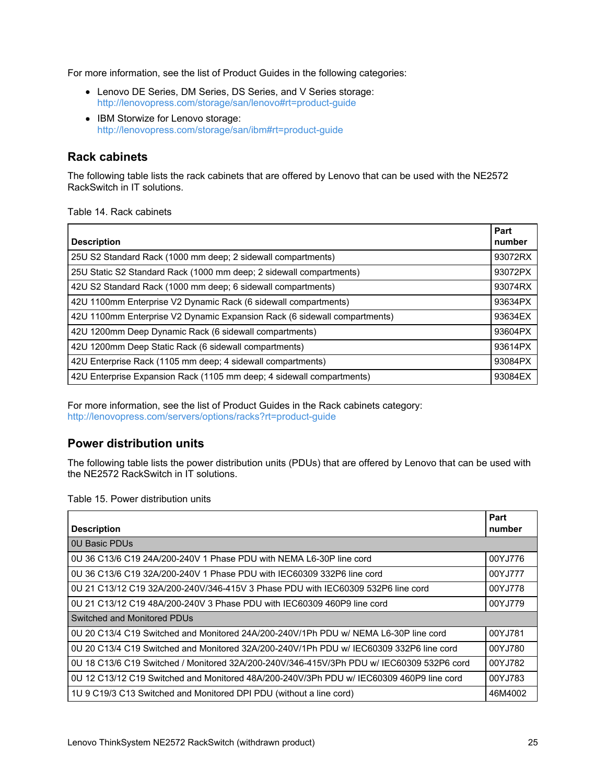For more information, see the list of Product Guides in the following categories:

- Lenovo DE Series, DM Series, DS Series, and V Series storage: <http://lenovopress.com/storage/san/lenovo#rt=product-guide>
- IBM Storwize for Lenovo storage: <http://lenovopress.com/storage/san/ibm#rt=product-guide>

## **Rack cabinets**

The following table lists the rack cabinets that are offered by Lenovo that can be used with the NE2572 RackSwitch in IT solutions.

Table 14. Rack cabinets

| <b>Description</b>                                                        | Part<br>number |
|---------------------------------------------------------------------------|----------------|
| 25U S2 Standard Rack (1000 mm deep; 2 sidewall compartments)              | 93072RX        |
| 25U Static S2 Standard Rack (1000 mm deep; 2 sidewall compartments)       | 93072PX        |
| 42U S2 Standard Rack (1000 mm deep; 6 sidewall compartments)              | 93074RX        |
| 42U 1100mm Enterprise V2 Dynamic Rack (6 sidewall compartments)           | 93634PX        |
| 42U 1100mm Enterprise V2 Dynamic Expansion Rack (6 sidewall compartments) | 93634EX        |
| 42U 1200mm Deep Dynamic Rack (6 sidewall compartments)                    | 93604PX        |
| 42U 1200mm Deep Static Rack (6 sidewall compartments)                     | 93614PX        |
| 42U Enterprise Rack (1105 mm deep; 4 sidewall compartments)               | 93084PX        |
| 42U Enterprise Expansion Rack (1105 mm deep; 4 sidewall compartments)     | 93084EX        |

For more information, see the list of Product Guides in the Rack cabinets category: <http://lenovopress.com/servers/options/racks?rt=product-guide>

## **Power distribution units**

The following table lists the power distribution units (PDUs) that are offered by Lenovo that can be used with the NE2572 RackSwitch in IT solutions.

Table 15. Power distribution units

| <b>Description</b>                                                                        | Part<br>number |  |
|-------------------------------------------------------------------------------------------|----------------|--|
| <b>0U Basic PDUs</b>                                                                      |                |  |
| 0U 36 C13/6 C19 24A/200-240V 1 Phase PDU with NEMA L6-30P line cord                       | 00YJ776        |  |
| 0U 36 C13/6 C19 32A/200-240V 1 Phase PDU with IEC60309 332P6 line cord                    | 00YJ777        |  |
| 0U 21 C13/12 C19 32A/200-240V/346-415V 3 Phase PDU with IEC60309 532P6 line cord          | 00YJ778        |  |
| 0U 21 C13/12 C19 48A/200-240V 3 Phase PDU with IEC60309 460P9 line cord                   | 00YJ779        |  |
| Switched and Monitored PDUs                                                               |                |  |
| 0U 20 C13/4 C19 Switched and Monitored 24A/200-240V/1Ph PDU w/ NEMA L6-30P line cord      | 00YJ781        |  |
| 0U 20 C13/4 C19 Switched and Monitored 32A/200-240V/1Ph PDU w/ IEC60309 332P6 line cord   | 00YJ780        |  |
| 0U 18 C13/6 C19 Switched / Monitored 32A/200-240V/346-415V/3Ph PDU w/ IEC60309 532P6 cord | 00YJ782        |  |
| 0U 12 C13/12 C19 Switched and Monitored 48A/200-240V/3Ph PDU w/ IEC60309 460P9 line cord  | 00YJ783        |  |
| 1U 9 C19/3 C13 Switched and Monitored DPI PDU (without a line cord)                       | 46M4002        |  |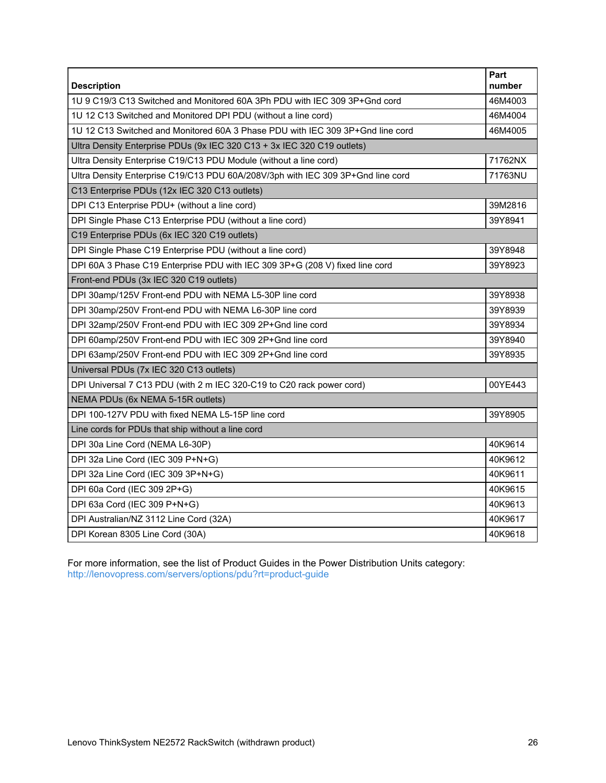| <b>Description</b>                                                              | Part<br>number |  |
|---------------------------------------------------------------------------------|----------------|--|
| 1U 9 C19/3 C13 Switched and Monitored 60A 3Ph PDU with IEC 309 3P+Gnd cord      | 46M4003        |  |
| 1U 12 C13 Switched and Monitored DPI PDU (without a line cord)                  | 46M4004        |  |
| 1U 12 C13 Switched and Monitored 60A 3 Phase PDU with IEC 309 3P+Gnd line cord  | 46M4005        |  |
| Ultra Density Enterprise PDUs (9x IEC 320 C13 + 3x IEC 320 C19 outlets)         |                |  |
| Ultra Density Enterprise C19/C13 PDU Module (without a line cord)               | 71762NX        |  |
| Ultra Density Enterprise C19/C13 PDU 60A/208V/3ph with IEC 309 3P+Gnd line cord | 71763NU        |  |
| C13 Enterprise PDUs (12x IEC 320 C13 outlets)                                   |                |  |
| DPI C13 Enterprise PDU+ (without a line cord)                                   | 39M2816        |  |
| DPI Single Phase C13 Enterprise PDU (without a line cord)                       | 39Y8941        |  |
| C19 Enterprise PDUs (6x IEC 320 C19 outlets)                                    |                |  |
| DPI Single Phase C19 Enterprise PDU (without a line cord)                       | 39Y8948        |  |
| DPI 60A 3 Phase C19 Enterprise PDU with IEC 309 3P+G (208 V) fixed line cord    | 39Y8923        |  |
| Front-end PDUs (3x IEC 320 C19 outlets)                                         |                |  |
| DPI 30amp/125V Front-end PDU with NEMA L5-30P line cord                         | 39Y8938        |  |
| DPI 30amp/250V Front-end PDU with NEMA L6-30P line cord                         | 39Y8939        |  |
| DPI 32amp/250V Front-end PDU with IEC 309 2P+Gnd line cord                      | 39Y8934        |  |
| DPI 60amp/250V Front-end PDU with IEC 309 2P+Gnd line cord                      | 39Y8940        |  |
| DPI 63amp/250V Front-end PDU with IEC 309 2P+Gnd line cord                      | 39Y8935        |  |
| Universal PDUs (7x IEC 320 C13 outlets)                                         |                |  |
| DPI Universal 7 C13 PDU (with 2 m IEC 320-C19 to C20 rack power cord)           | 00YE443        |  |
| NEMA PDUs (6x NEMA 5-15R outlets)                                               |                |  |
| DPI 100-127V PDU with fixed NEMA L5-15P line cord                               | 39Y8905        |  |
| Line cords for PDUs that ship without a line cord                               |                |  |
| DPI 30a Line Cord (NEMA L6-30P)                                                 | 40K9614        |  |
| DPI 32a Line Cord (IEC 309 P+N+G)                                               | 40K9612        |  |
| DPI 32a Line Cord (IEC 309 3P+N+G)                                              | 40K9611        |  |
| DPI 60a Cord (IEC 309 2P+G)                                                     | 40K9615        |  |
| DPI 63a Cord (IEC 309 P+N+G)                                                    | 40K9613        |  |
| DPI Australian/NZ 3112 Line Cord (32A)                                          | 40K9617        |  |
| DPI Korean 8305 Line Cord (30A)                                                 | 40K9618        |  |

For more information, see the list of Product Guides in the Power Distribution Units category: <http://lenovopress.com/servers/options/pdu?rt=product-guide>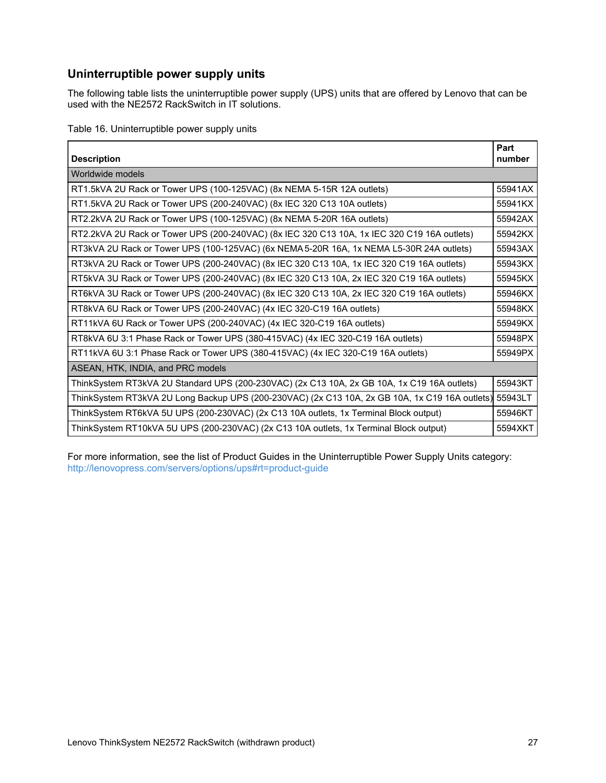## **Uninterruptible power supply units**

The following table lists the uninterruptible power supply (UPS) units that are offered by Lenovo that can be used with the NE2572 RackSwitch in IT solutions.

Table 16. Uninterruptible power supply units

| <b>Description</b>                                                                                     | Part<br>number |
|--------------------------------------------------------------------------------------------------------|----------------|
| Worldwide models                                                                                       |                |
| RT1.5kVA 2U Rack or Tower UPS (100-125VAC) (8x NEMA 5-15R 12A outlets)                                 | 55941AX        |
| RT1.5kVA 2U Rack or Tower UPS (200-240VAC) (8x IEC 320 C13 10A outlets)                                | 55941KX        |
| RT2.2kVA 2U Rack or Tower UPS (100-125VAC) (8x NEMA 5-20R 16A outlets)                                 | 55942AX        |
| RT2.2kVA 2U Rack or Tower UPS (200-240VAC) (8x IEC 320 C13 10A, 1x IEC 320 C19 16A outlets)            | 55942KX        |
| RT3kVA 2U Rack or Tower UPS (100-125VAC) (6x NEMA 5-20R 16A, 1x NEMA L5-30R 24A outlets)               | 55943AX        |
| RT3kVA 2U Rack or Tower UPS (200-240VAC) (8x IEC 320 C13 10A, 1x IEC 320 C19 16A outlets)              | 55943KX        |
| RT5kVA 3U Rack or Tower UPS (200-240VAC) (8x IEC 320 C13 10A, 2x IEC 320 C19 16A outlets)              | 55945KX        |
| RT6kVA 3U Rack or Tower UPS (200-240VAC) (8x IEC 320 C13 10A, 2x IEC 320 C19 16A outlets)              | 55946KX        |
| RT8kVA 6U Rack or Tower UPS (200-240VAC) (4x IEC 320-C19 16A outlets)                                  | 55948KX        |
| RT11kVA 6U Rack or Tower UPS (200-240VAC) (4x IEC 320-C19 16A outlets)                                 | 55949KX        |
| RT8kVA 6U 3:1 Phase Rack or Tower UPS (380-415VAC) (4x IEC 320-C19 16A outlets)                        | 55948PX        |
| RT11kVA 6U 3:1 Phase Rack or Tower UPS (380-415VAC) (4x IEC 320-C19 16A outlets)                       | 55949PX        |
| ASEAN, HTK, INDIA, and PRC models                                                                      |                |
| ThinkSystem RT3kVA 2U Standard UPS (200-230VAC) (2x C13 10A, 2x GB 10A, 1x C19 16A outlets)            | 55943KT        |
| ThinkSystem RT3kVA 2U Long Backup UPS (200-230VAC) (2x C13 10A, 2x GB 10A, 1x C19 16A outlets) 55943LT |                |
| ThinkSystem RT6kVA 5U UPS (200-230VAC) (2x C13 10A outlets, 1x Terminal Block output)                  | 55946KT        |
| ThinkSystem RT10kVA 5U UPS (200-230VAC) (2x C13 10A outlets, 1x Terminal Block output)                 | 5594XKT        |

For more information, see the list of Product Guides in the Uninterruptible Power Supply Units category: <http://lenovopress.com/servers/options/ups#rt=product-guide>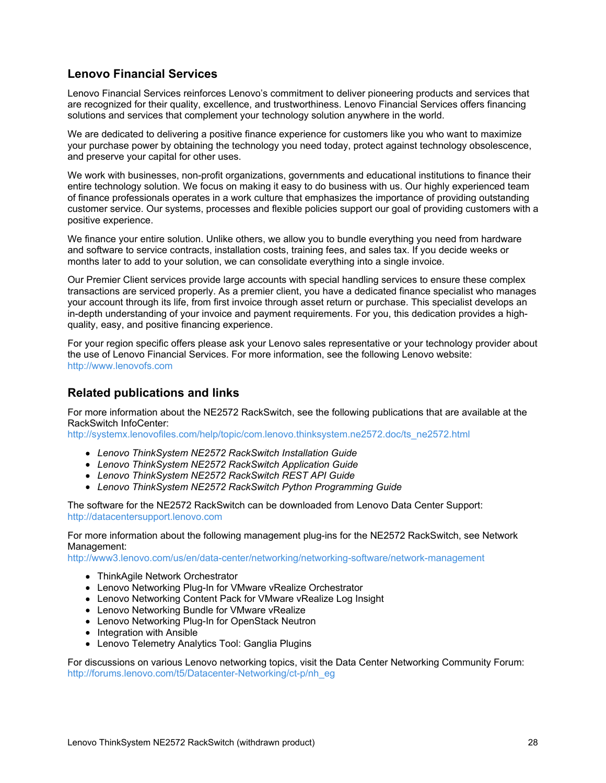## **Lenovo Financial Services**

Lenovo Financial Services reinforces Lenovo's commitment to deliver pioneering products and services that are recognized for their quality, excellence, and trustworthiness. Lenovo Financial Services offers financing solutions and services that complement your technology solution anywhere in the world.

We are dedicated to delivering a positive finance experience for customers like you who want to maximize your purchase power by obtaining the technology you need today, protect against technology obsolescence, and preserve your capital for other uses.

We work with businesses, non-profit organizations, governments and educational institutions to finance their entire technology solution. We focus on making it easy to do business with us. Our highly experienced team of finance professionals operates in a work culture that emphasizes the importance of providing outstanding customer service. Our systems, processes and flexible policies support our goal of providing customers with a positive experience.

We finance your entire solution. Unlike others, we allow you to bundle everything you need from hardware and software to service contracts, installation costs, training fees, and sales tax. If you decide weeks or months later to add to your solution, we can consolidate everything into a single invoice.

Our Premier Client services provide large accounts with special handling services to ensure these complex transactions are serviced properly. As a premier client, you have a dedicated finance specialist who manages your account through its life, from first invoice through asset return or purchase. This specialist develops an in-depth understanding of your invoice and payment requirements. For you, this dedication provides a highquality, easy, and positive financing experience.

For your region specific offers please ask your Lenovo sales representative or your technology provider about the use of Lenovo Financial Services. For more information, see the following Lenovo website: <http://www.lenovofs.com>

#### **Related publications and links**

For more information about the NE2572 RackSwitch, see the following publications that are available at the RackSwitch InfoCenter:

[http://systemx.lenovofiles.com/help/topic/com.lenovo.thinksystem.ne2572.doc/ts\\_ne2572.html](http://systemx.lenovofiles.com/help/topic/com.lenovo.thinksystem.ne2572.doc/ts_ne2572.html)

- *Lenovo ThinkSystem NE2572 RackSwitch Installation Guide*
- *Lenovo ThinkSystem NE2572 RackSwitch Application Guide*
- *Lenovo ThinkSystem NE2572 RackSwitch REST API Guide*
- *Lenovo ThinkSystem NE2572 RackSwitch Python Programming Guide*

The software for the NE2572 RackSwitch can be downloaded from Lenovo Data Center Support: <http://datacentersupport.lenovo.com>

For more information about the following management plug-ins for the NE2572 RackSwitch, see Network Management:

<http://www3.lenovo.com/us/en/data-center/networking/networking-software/network-management>

- ThinkAgile Network Orchestrator
- Lenovo Networking Plug-In for VMware vRealize Orchestrator
- Lenovo Networking Content Pack for VMware vRealize Log Insight
- Lenovo Networking Bundle for VMware vRealize
- Lenovo Networking Plug-In for OpenStack Neutron
- Integration with Ansible
- Lenovo Telemetry Analytics Tool: Ganglia Plugins

For discussions on various Lenovo networking topics, visit the Data Center Networking Community Forum: [http://forums.lenovo.com/t5/Datacenter-Networking/ct-p/nh\\_eg](http://forums.lenovo.com/t5/Datacenter-Networking/ct-p/nh_eg)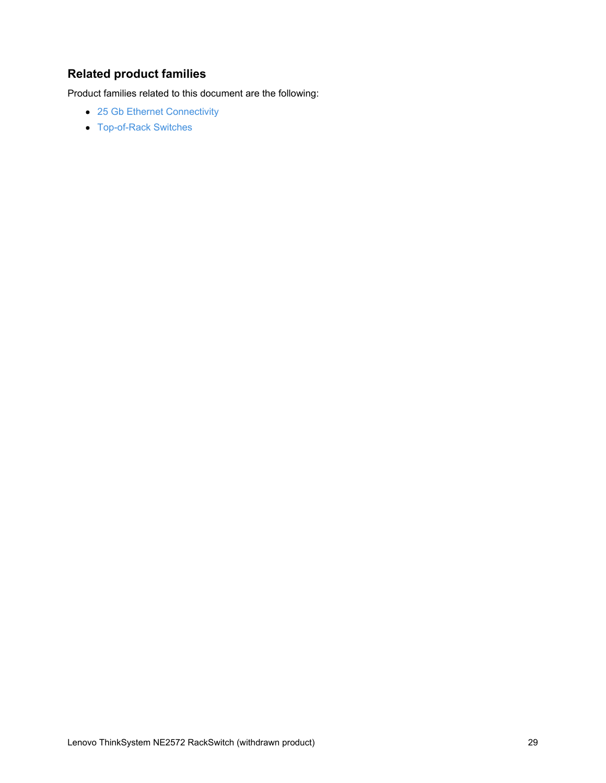# **Related product families**

Product families related to this document are the following:

- 25 Gb Ethernet [Connectivity](https://lenovopress.com/networking/tor/25gb)
- [Top-of-Rack](https://lenovopress.com/servers/options/switches) Switches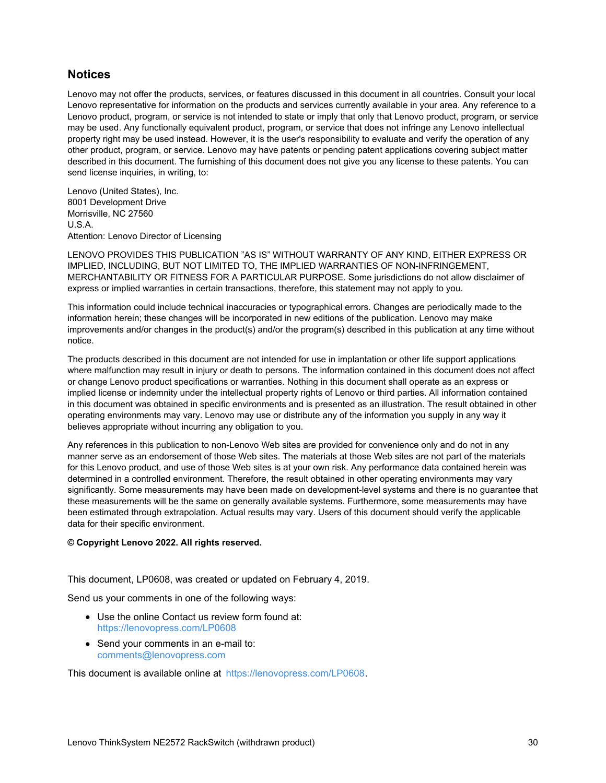#### **Notices**

Lenovo may not offer the products, services, or features discussed in this document in all countries. Consult your local Lenovo representative for information on the products and services currently available in your area. Any reference to a Lenovo product, program, or service is not intended to state or imply that only that Lenovo product, program, or service may be used. Any functionally equivalent product, program, or service that does not infringe any Lenovo intellectual property right may be used instead. However, it is the user's responsibility to evaluate and verify the operation of any other product, program, or service. Lenovo may have patents or pending patent applications covering subject matter described in this document. The furnishing of this document does not give you any license to these patents. You can send license inquiries, in writing, to:

Lenovo (United States), Inc. 8001 Development Drive Morrisville, NC 27560 U.S.A. Attention: Lenovo Director of Licensing

LENOVO PROVIDES THIS PUBLICATION "AS IS" WITHOUT WARRANTY OF ANY KIND, EITHER EXPRESS OR IMPLIED, INCLUDING, BUT NOT LIMITED TO, THE IMPLIED WARRANTIES OF NON-INFRINGEMENT, MERCHANTABILITY OR FITNESS FOR A PARTICULAR PURPOSE. Some jurisdictions do not allow disclaimer of express or implied warranties in certain transactions, therefore, this statement may not apply to you.

This information could include technical inaccuracies or typographical errors. Changes are periodically made to the information herein; these changes will be incorporated in new editions of the publication. Lenovo may make improvements and/or changes in the product(s) and/or the program(s) described in this publication at any time without notice.

The products described in this document are not intended for use in implantation or other life support applications where malfunction may result in injury or death to persons. The information contained in this document does not affect or change Lenovo product specifications or warranties. Nothing in this document shall operate as an express or implied license or indemnity under the intellectual property rights of Lenovo or third parties. All information contained in this document was obtained in specific environments and is presented as an illustration. The result obtained in other operating environments may vary. Lenovo may use or distribute any of the information you supply in any way it believes appropriate without incurring any obligation to you.

Any references in this publication to non-Lenovo Web sites are provided for convenience only and do not in any manner serve as an endorsement of those Web sites. The materials at those Web sites are not part of the materials for this Lenovo product, and use of those Web sites is at your own risk. Any performance data contained herein was determined in a controlled environment. Therefore, the result obtained in other operating environments may vary significantly. Some measurements may have been made on development-level systems and there is no guarantee that these measurements will be the same on generally available systems. Furthermore, some measurements may have been estimated through extrapolation. Actual results may vary. Users of this document should verify the applicable data for their specific environment.

#### **© Copyright Lenovo 2022. All rights reserved.**

This document, LP0608, was created or updated on February 4, 2019.

Send us your comments in one of the following ways:

- Use the online Contact us review form found at: <https://lenovopress.com/LP0608>
- Send your comments in an e-mail to: [comments@lenovopress.com](mailto:comments@lenovopress.com?subject=Feedback for LP0608)

This document is available online at <https://lenovopress.com/LP0608>.